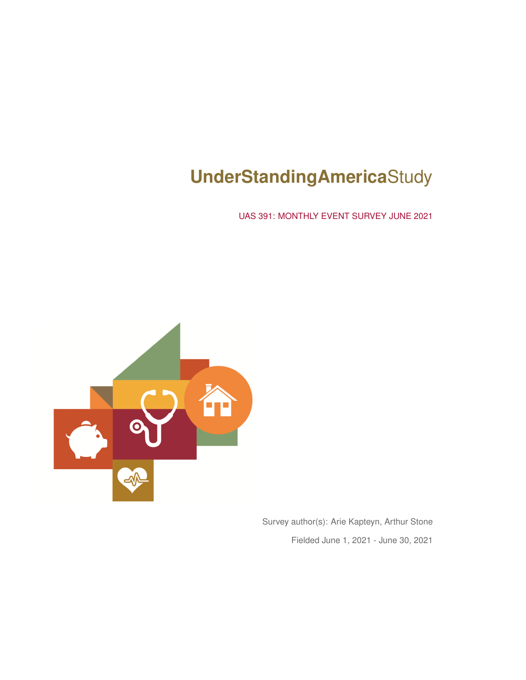# **UnderStandingAmerica**Study

UAS 391: MONTHLY EVENT SURVEY JUNE 2021



Survey author(s): Arie Kapteyn, Arthur Stone Fielded June 1, 2021 - June 30, 2021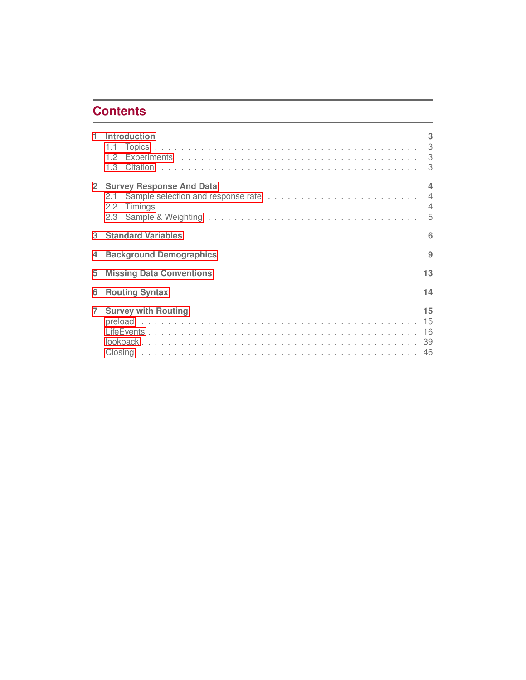## **Contents**

|                | Introduction                            | 3  |
|----------------|-----------------------------------------|----|
|                | 13<br>2 Survey Response And Data<br>2.3 | 4  |
| 3              | <b>Standard Variables</b>               | 6  |
| 4              | <b>Background Demographics</b>          | 9  |
| 5              | <b>Missing Data Conventions</b>         | 13 |
| 6              | <b>Routing Syntax</b>                   | 14 |
| $\overline{7}$ | <b>Survey with Routing</b>              | 15 |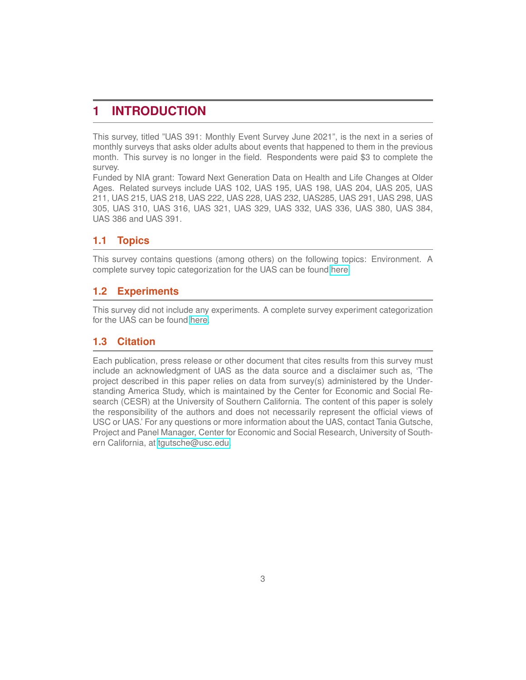## <span id="page-2-0"></span>**1 INTRODUCTION**

This survey, titled "UAS 391: Monthly Event Survey June 2021", is the next in a series of monthly surveys that asks older adults about events that happened to them in the previous month. This survey is no longer in the field. Respondents were paid \$3 to complete the survey.

Funded by NIA grant: Toward Next Generation Data on Health and Life Changes at Older Ages. Related surveys include UAS 102, UAS 195, UAS 198, UAS 204, UAS 205, UAS 211, UAS 215, UAS 218, UAS 222, UAS 228, UAS 232, UAS285, UAS 291, UAS 298, UAS 305, UAS 310, UAS 316, UAS 321, UAS 329, UAS 332, UAS 336, UAS 380, UAS 384, UAS 386 and UAS 391.

## <span id="page-2-1"></span>**1.1 Topics**

This survey contains questions (among others) on the following topics: Environment. A complete survey topic categorization for the UAS can be found [here.](https://uasdata.usc.edu/page/Surveys+by+topic)

## <span id="page-2-2"></span>**1.2 Experiments**

This survey did not include any experiments. A complete survey experiment categorization for the UAS can be found [here.](https://uasdata.usc.edu/page/Surveys+by+experiment)

## <span id="page-2-3"></span>**1.3 Citation**

Each publication, press release or other document that cites results from this survey must include an acknowledgment of UAS as the data source and a disclaimer such as, 'The project described in this paper relies on data from survey(s) administered by the Understanding America Study, which is maintained by the Center for Economic and Social Research (CESR) at the University of Southern California. The content of this paper is solely the responsibility of the authors and does not necessarily represent the official views of USC or UAS.' For any questions or more information about the UAS, contact Tania Gutsche, Project and Panel Manager, Center for Economic and Social Research, University of Southern California, at [tgutsche@usc.edu.](mailto:tgutsche@usc.edu)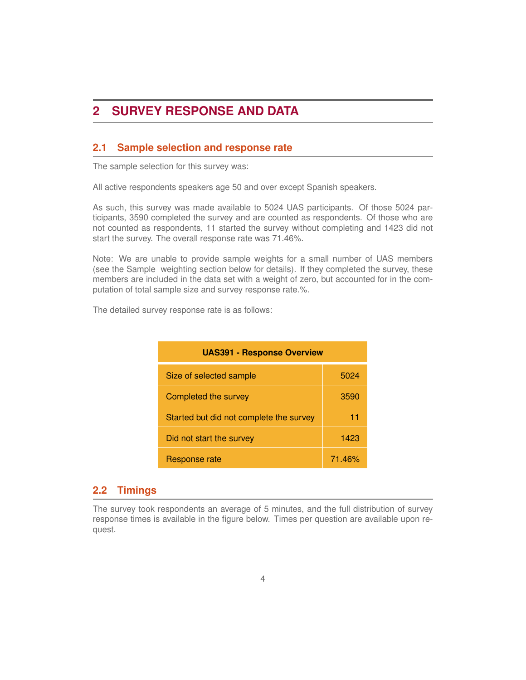## <span id="page-3-0"></span>**2 SURVEY RESPONSE AND DATA**

#### <span id="page-3-1"></span>**2.1 Sample selection and response rate**

The sample selection for this survey was:

All active respondents speakers age 50 and over except Spanish speakers.

As such, this survey was made available to 5024 UAS participants. Of those 5024 participants, 3590 completed the survey and are counted as respondents. Of those who are not counted as respondents, 11 started the survey without completing and 1423 did not start the survey. The overall response rate was 71.46%.

Note: We are unable to provide sample weights for a small number of UAS members (see the Sample weighting section below for details). If they completed the survey, these members are included in the data set with a weight of zero, but accounted for in the computation of total sample size and survey response rate.%.

The detailed survey response rate is as follows:

| <b>UAS391 - Response Overview</b>       |        |  |  |
|-----------------------------------------|--------|--|--|
| Size of selected sample                 | 5024   |  |  |
| Completed the survey                    | 3590   |  |  |
| Started but did not complete the survey | 11     |  |  |
| Did not start the survey                | 1423   |  |  |
| Response rate                           | 71.46% |  |  |

#### <span id="page-3-2"></span>**2.2 Timings**

The survey took respondents an average of 5 minutes, and the full distribution of survey response times is available in the figure below. Times per question are available upon request.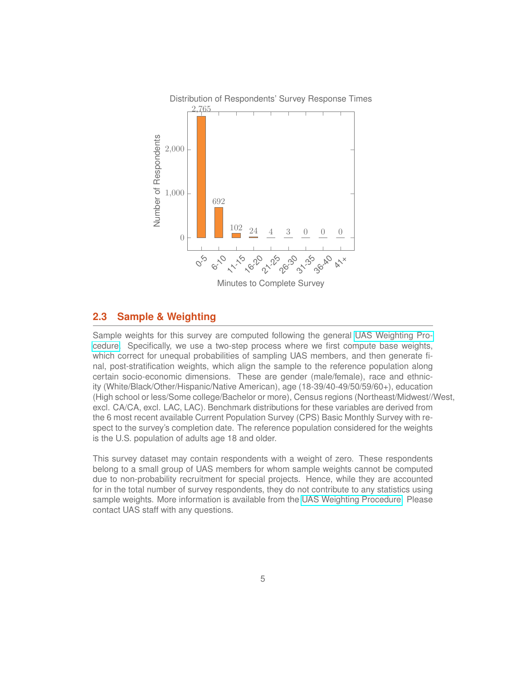

#### <span id="page-4-0"></span>**2.3 Sample & Weighting**

Sample weights for this survey are computed following the general [UAS Weighting Pro](https://uasdata.usc.edu/page/Weights)[cedure.](https://uasdata.usc.edu/page/Weights) Specifically, we use a two-step process where we first compute base weights, which correct for unequal probabilities of sampling UAS members, and then generate final, post-stratification weights, which align the sample to the reference population along certain socio-economic dimensions. These are gender (male/female), race and ethnicity (White/Black/Other/Hispanic/Native American), age (18-39/40-49/50/59/60+), education (High school or less/Some college/Bachelor or more), Census regions (Northeast/Midwest//West, excl. CA/CA, excl. LAC, LAC). Benchmark distributions for these variables are derived from the 6 most recent available Current Population Survey (CPS) Basic Monthly Survey with respect to the survey's completion date. The reference population considered for the weights is the U.S. population of adults age 18 and older.

This survey dataset may contain respondents with a weight of zero. These respondents belong to a small group of UAS members for whom sample weights cannot be computed due to non-probability recruitment for special projects. Hence, while they are accounted for in the total number of survey respondents, they do not contribute to any statistics using sample weights. More information is available from the [UAS Weighting Procedure.](https://uasdata.usc.edu/page/Weights) Please contact UAS staff with any questions.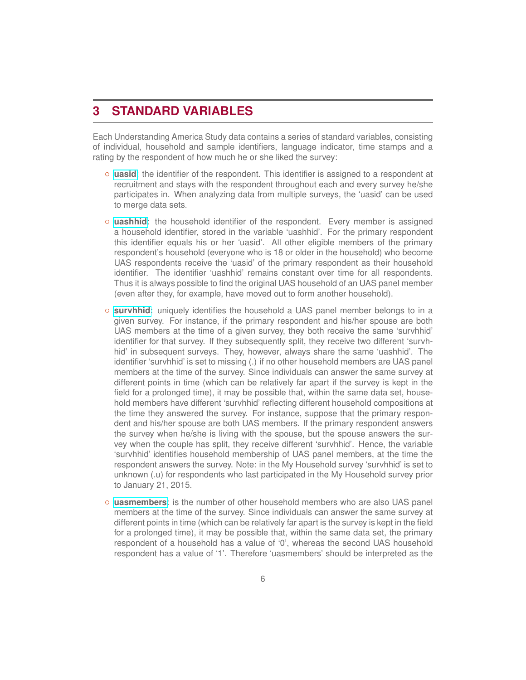## <span id="page-5-0"></span>**3 STANDARD VARIABLES**

Each Understanding America Study data contains a series of standard variables, consisting of individual, household and sample identifiers, language indicator, time stamps and a rating by the respondent of how much he or she liked the survey:

- **[uasid](https://uasdata.usc.edu/index.php?r=eNpLtDKxqi4GEkoFiempStbFVkYGQHZpUk5msl5KYkmiXlliUWZiUg5YDqisuDgzBcQ0tlIytjSECaZCBA2tlMBCFlZKIL15iblgbaZWSqWJYH21XDCHZyHQ)**: the identifier of the respondent. This identifier is assigned to a respondent at recruitment and stays with the respondent throughout each and every survey he/she participates in. When analyzing data from multiple surveys, the 'uasid' can be used to merge data sets.
- **[uashhid](https://uasdata.usc.edu/index.php?r=eNpLtDKxqi4GEkoFiempStbFVkYGQHZpUk5msl5KYkmiXlliUWZiUg5YDqisuDgzBcQ0tlIytjSECaZCBIFMQwMDAxDTwkoJpD0vMRes09xKqTSxOCMDpK4WXDAqAyM1)**: the household identifier of the respondent. Every member is assigned a household identifier, stored in the variable 'uashhid'. For the primary respondent this identifier equals his or her 'uasid'. All other eligible members of the primary respondent's household (everyone who is 18 or older in the household) who become UAS respondents receive the 'uasid' of the primary respondent as their household identifier. The identifier 'uashhid' remains constant over time for all respondents. Thus it is always possible to find the original UAS household of an UAS panel member (even after they, for example, have moved out to form another household).
- **[survhhid](https://uasdata.usc.edu/index.php?r=eNpLtDKxqi4GEkoFiempStbFVkYGQHZpUk5msl5KYkmiXlliUWZiUg5YDqisuDgzBcQ0tlIytjSECaZCBIFMQwMDAxDTwkoJpD0vMTcVyi0uLSrLyFwwKawFXDBPKCO9)**: uniquely identifies the household a UAS panel member belongs to in a given survey. For instance, if the primary respondent and his/her spouse are both UAS members at the time of a given survey, they both receive the same 'survhhid' identifier for that survey. If they subsequently split, they receive two different 'survhhid' in subsequent surveys. They, however, always share the same 'uashhid'. The identifier 'survhhid' is set to missing (.) if no other household members are UAS panel members at the time of the survey. Since individuals can answer the same survey at different points in time (which can be relatively far apart if the survey is kept in the field for a prolonged time), it may be possible that, within the same data set, household members have different 'survhhid' reflecting different household compositions at the time they answered the survey. For instance, suppose that the primary respondent and his/her spouse are both UAS members. If the primary respondent answers the survey when he/she is living with the spouse, but the spouse answers the survey when the couple has split, they receive different 'survhhid'. Hence, the variable 'survhhid' identifies household membership of UAS panel members, at the time the respondent answers the survey. Note: in the My Household survey 'survhhid' is set to unknown (.u) for respondents who last participated in the My Household survey prior to January 21, 2015.
- **[uasmembers](https://uasdata.usc.edu/index.php?r=eNo1jE0KgCAQhe8yBxDNFjWeZiwJQSOcbBPdvdFo8_h4f4Qj3iwCB20BHOOghatPcVErnaQuKpF86pnUmOPa0Fwi2Nn8ZvhMQaO1bjghtPlOuS-NvFbiHLIPhcE9L7lUJK0,)**: is the number of other household members who are also UAS panel members at the time of the survey. Since individuals can answer the same survey at different points in time (which can be relatively far apart is the survey is kept in the field for a prolonged time), it may be possible that, within the same data set, the primary respondent of a household has a value of '0', whereas the second UAS household respondent has a value of '1'. Therefore 'uasmembers' should be interpreted as the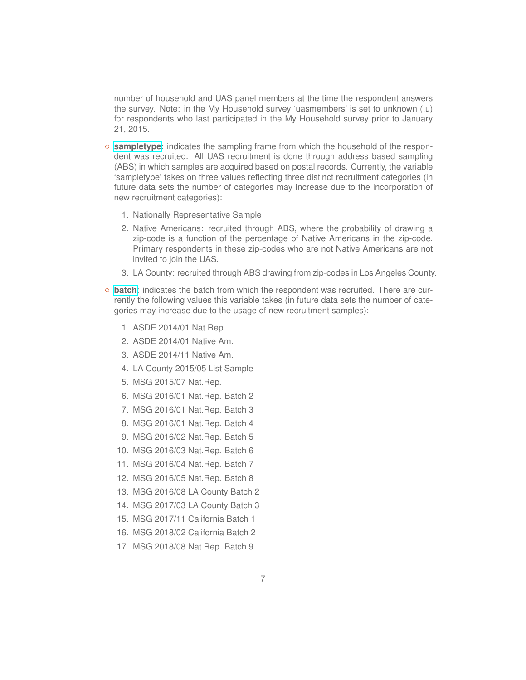number of household and UAS panel members at the time the respondent answers the survey. Note: in the My Household survey 'uasmembers' is set to unknown (.u) for respondents who last participated in the My Household survey prior to January 21, 2015.

- **[sampletype](https://uasdata.usc.edu/index.php?r=eNo1jFEKgCAQRO_iAWTNPmo7zZoSgoa0FkR099ain-HxdmcIe7xYQhVagpoYOxDeXYqz9lRJH7RFcum9yRtz9A0tKjuaX4ZPChpcMGg4oGr1lfLbNLLKlEsK9Sxi7ge5ySS9)**: indicates the sampling frame from which the household of the respondent was recruited. All UAS recruitment is done through address based sampling (ABS) in which samples are acquired based on postal records. Currently, the variable 'sampletype' takes on three values reflecting three distinct recruitment categories (in future data sets the number of categories may increase due to the incorporation of new recruitment categories):
	- 1. Nationally Representative Sample
	- 2. Native Americans: recruited through ABS, where the probability of drawing a zip-code is a function of the percentage of Native Americans in the zip-code. Primary respondents in these zip-codes who are not Native Americans are not invited to join the UAS.
	- 3. LA County: recruited through ABS drawing from zip-codes in Los Angeles County.
- **[batch](https://uasdata.usc.edu/index.php?r=eNpLtDKxqi4GEkoFiempStbFVkYGQHZpUk5msl5KYkmiXlliUWZiUg5YDqisuDgzBcQ0tlIytjSECaZCBIFMQwMDAxDTwkoJpD0vMRes09RKKSmxJDlDyboWXDDielwiTw,,)**: indicates the batch from which the respondent was recruited. There are currently the following values this variable takes (in future data sets the number of categories may increase due to the usage of new recruitment samples):
	- 1. ASDE 2014/01 Nat.Rep.
	- 2. ASDE 2014/01 Native Am.
	- 3. ASDE 2014/11 Native Am.
	- 4. LA County 2015/05 List Sample
	- 5. MSG 2015/07 Nat.Rep.
	- 6. MSG 2016/01 Nat.Rep. Batch 2
	- 7. MSG 2016/01 Nat.Rep. Batch 3
	- 8. MSG 2016/01 Nat.Rep. Batch 4
	- 9. MSG 2016/02 Nat.Rep. Batch 5
	- 10. MSG 2016/03 Nat.Rep. Batch 6
	- 11. MSG 2016/04 Nat.Rep. Batch 7
	- 12. MSG 2016/05 Nat.Rep. Batch 8
	- 13. MSG 2016/08 LA County Batch 2
	- 14. MSG 2017/03 LA County Batch 3
	- 15. MSG 2017/11 California Batch 1
	- 16. MSG 2018/02 California Batch 2
	- 17. MSG 2018/08 Nat.Rep. Batch 9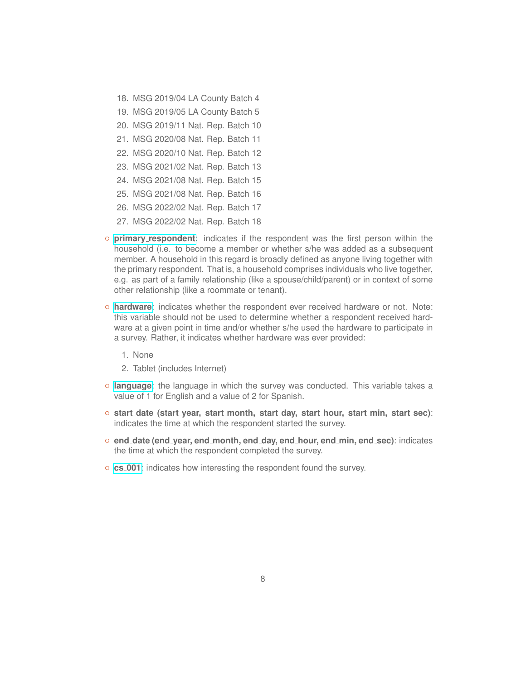- 18. MSG 2019/04 LA County Batch 4
- 19. MSG 2019/05 LA County Batch 5
- 20. MSG 2019/11 Nat. Rep. Batch 10
- 21. MSG 2020/08 Nat. Rep. Batch 11
- 22. MSG 2020/10 Nat. Rep. Batch 12
- 23. MSG 2021/02 Nat. Rep. Batch 13
- 24. MSG 2021/08 Nat. Rep. Batch 15
- 25. MSG 2021/08 Nat. Rep. Batch 16
- 26. MSG 2022/02 Nat. Rep. Batch 17
- 27. MSG 2022/02 Nat. Rep. Batch 18
- **primary [respondent](https://uasdata.usc.edu/index.php?r=eNo1i1EKgDAMQ-_SA4hzfmg9jFQ3pKBzrFMQ8e5uE39C8pIQtnhLEvC0WBgEmzr5Y1p5rgxFqk4KTNNaujQTYZOtRtC9-qH9oEIoqEPIX0dbuamUfeCNwjUGK353xroIw_MCj0xcJ5M,)**: indicates if the respondent was the first person within the household (i.e. to become a member or whether s/he was added as a subsequent member. A household in this regard is broadly defined as anyone living together with the primary respondent. That is, a household comprises individuals who live together, e.g. as part of a family relationship (like a spouse/child/parent) or in context of some other relationship (like a roommate or tenant).
- **[hardware](https://uasdata.usc.edu/index.php?r=eNpLtDKxqi4GEkoFiempStbFVkYGQHZpUk5msl5KYkmiXlliUWZiUg5YDqisuDgzBcQ0tlIytjSECaZCBA2tlMBCFlZKIL15ibmpUG5GYlFKeWIRkFsLXDDwTCML)**: indicates whether the respondent ever received hardware or not. Note: this variable should not be used to determine whether a respondent received hardware at a given point in time and/or whether s/he used the hardware to participate in a survey. Rather, it indicates whether hardware was ever provided:
	- 1. None
	- 2. Tablet (includes Internet)
- **[language](https://uasdata.usc.edu/index.php?r=eNpLtDKxqi4GEkoFiempStbFVkYGQHZpUk5msl5KYkmiXlliUWZiUg5YDqisuDgzBcQ0tlIytjSECaZCBA2tlMBCFlZKIL15ibmpUG5OYl56KdiGWlww8FwnIwE,)**: the language in which the survey was conducted. This variable takes a value of 1 for English and a value of 2 for Spanish.
- **start date (start year, start month, start day, start hour, start min, start sec)**: indicates the time at which the respondent started the survey.
- **end date (end year, end month, end day, end hour, end min, end sec)**: indicates the time at which the respondent completed the survey.
- **cs [001](https://uasdata.usc.edu/index.php?r=eNpLtDKxqi4GEkoFiempStbFVkYGQHZpUk5msl5KYkmiXlliUWZiUg5YDqisuDgzBcQ0tlIytjSECaZCBIFMQwMDsKiFlRJIe15iLlinmZVScnE8WK4WXDACqlwiFQ,,)**: indicates how interesting the respondent found the survey.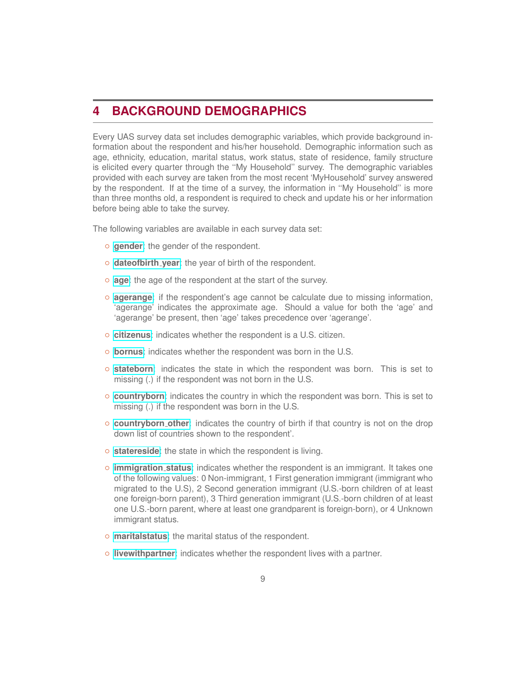## <span id="page-8-0"></span>**4 BACKGROUND DEMOGRAPHICS**

Every UAS survey data set includes demographic variables, which provide background information about the respondent and his/her household. Demographic information such as age, ethnicity, education, marital status, work status, state of residence, family structure is elicited every quarter through the ''My Household'' survey. The demographic variables provided with each survey are taken from the most recent 'MyHousehold' survey answered by the respondent. If at the time of a survey, the information in ''My Household'' is more than three months old, a respondent is required to check and update his or her information before being able to take the survey.

The following variables are available in each survey data set:

- **[gender](https://uasdata.usc.edu/index.php?r=eNo1i1EKgCAQRO-yB5A1I2o9zZpcIoJJaPUT3T01-hkeM_OYRrpLDdjZO9CFBqx8mhhWYflgcXEObGLf6q2UYBsqArXIv3RfWVFcImLDmaDpibduTgTeJesy6OcFBexcIsM,)**: the gender of the respondent.
- **[dateofbirth](https://uasdata.usc.edu/index.php?r=eNo1i1sKgCAQRfcyCxCtiBoXE2NaCfZAK4ho76nRz-XcF2GFd4gCG40GZMCCRz6Usz3TtBM7yVtSLndxFoLVCUuEshV_aL4wouCcXCdsENJ9oTk_RZ29WQdl_T51lyEP8nkBn49cJxs,) year**: the year of birth of the respondent.
- **[age](https://uasdata.usc.edu/index.php?r=eNpLtDKxqi4GEkoFiempStbFVkYGQHZpUk5msl5KYkmiXlliUWZiUg5YDqisuDgzBcQ0tlIytjSECaZCBIFMQwMDAxDTwkoJpD0vMTcVqhxsfi1cMJ1hIXg,)**: the age of the respondent at the start of the survey.
- **[agerange](https://uasdata.usc.edu/index.php?r=eNpLtDKxqi4GEkoFiempStbFVkYGQHZpUk5msl5KYkmiXlliUWZiUg5YDqisuDgzBcQ0tlIytjSECaZCBIFMQwMDAxDTwkoJpD0vMTcVygWaX5SYB7KkFlwwTS4jig,,)**: if the respondent's age cannot be calculate due to missing information, 'agerange' indicates the approximate age. Should a value for both the 'age' and 'agerange' be present, then 'age' takes precedence over 'agerange'.
- **[citizenus](https://uasdata.usc.edu/index.php?r=eNo1i0sKgDAMRO-SA5T4Wdj0NFGLBLSIqS4U726quBkeM_OYWrrUAlaeXCIEpRqN936WwY2c2R28Cffzu9lNVcaCDUHjq7-MX2lYIWLBjqDoiZfX9ASDZDlj2hXC_Vwwcy8kLw,,)**: indicates whether the respondent is a U.S. citizen.
- **[bornus](https://uasdata.usc.edu/index.php?r=eNo1i1EKgCAQRO-yBxDLiFpPs6aEYBZu9hPdPTX6GR4z8wgHvLkEHLQ60Iy9LJxN8IuwdJK4KHkyoW3lxuxtRYWg5u4v3VcW7KSUFVwnhKpH2po5XCKYPcXMoJ8XBrtcIuc,)**: indicates whether the respondent was born in the U.S.
- **[stateborn](https://uasdata.usc.edu/index.php?r=eNo1i1EKgCAQRO-yBxDNPnI9zZoSglmo9RPdvbXoZ3jMzCMc8aocsNMSwFYcJPPhUpyFp0bipBLJpXfjW63Rd9QI2qi_DF_JqKSUHVwnhK5nWl_T8KlRC24rGez9XDBzMyQj)**: indicates the state in which the respondent was born. This is set to missing (.) if the respondent was not born in the U.S.
- **[countryborn](https://uasdata.usc.edu/index.php?r=eNo1i0EKgDAMBP-SB5RUPWh8TapFClqlqYKIfzdVvCzD7g5TQ5dowMaTh16oQuXdzWEwI2c2B6fAbn43vYmEsWBNUHf2L_1XKlpELNgSFD3y8prWEgzrHnM63ZpcIvT3A-AcJT8,)**: indicates the country in which the respondent was born. This is set to missing (.) if the respondent was born in the U.S.
- **[countryborn](https://uasdata.usc.edu/index.php?r=eNo1i1EKgCAQRO-yBxCtoNoOE6tJCaahFkR097ToZ3jMzCNs8Io5YKNZwxCx4pl3aY1iEyViBwVD0r5bvsVopoI1Qt2Lv9RfmVFwzgt2CEV3tL6maBGU310Kp_TBjT4tOsBwP8s_XCfG) other**: indicates the country of birth if that country is not on the drop down list of countries shown to the respondent'.
- **[statereside](https://uasdata.usc.edu/index.php?r=eNo1jEEKgDAMBP-SB5TEetD4mlSLFKpIW72IfzeteAnD7G6Ee76zHjhk9TBl7lD5dDHMZpFcIuaSFMTFlmkt57BUtAx2pF_6TyoSXCJWHBjqfJetLYm0VaT45PWBqucF30IlFw,,)**: the state in which the respondent is living.
- **[immigration](https://uasdata.usc.edu/index.php?r=eNo1i0sOQEAQRO_SB5AZLGiHkfKJdGIQPWzE3fUQm8qrH7jkS01owzRSo5w746Obpc8GRGRcJ3ZBN7-dzVRlSFgwFbX_w_ELDb1zLmHFlO4Lwvv05iUEmXZEWZdWI-Kh1NwP8hQoJA,,) status**: indicates whether the respondent is an immigrant. It takes one of the following values: 0 Non-immigrant, 1 First generation immigrant (immigrant who migrated to the U.S), 2 Second generation immigrant (U.S.-born children of at least one foreign-born parent), 3 Third generation immigrant (U.S.-born children of at least one U.S.-born parent, where at least one grandparent is foreign-born), or 4 Unknown immigrant status.
- **[maritalstatus](https://uasdata.usc.edu/index.php?r=eNo1jE0KgCAQhe8yBxCtFjWe5lkRgkU02ia6e2PR5vHx_sAdX6JCO5aZvHBjlUtIcTQTMsyJI1wipDfTmkicKrZM7eB-c_5MRWetrdgz1fmG9V067a_6lJEkIxchfz8rxCYK)**: the marital status of the respondent.
- **[livewithpartner](https://uasdata.usc.edu/index.php?r=eNo1i1EKgCAQRO-yBwjNglpPs6bUgoWo1Ud097ToZ3jMzCPs8EolINDsQFwnbEXh3XieGkuZmoNcIpPx71ZuKbGtqBDUKP_SfWVBKYSoOCBUfaP1NWWP4PlwXCfnJVDMm4ug7wd6pSbmlivewithpartner)**: indicates whether the respondent lives with a partner.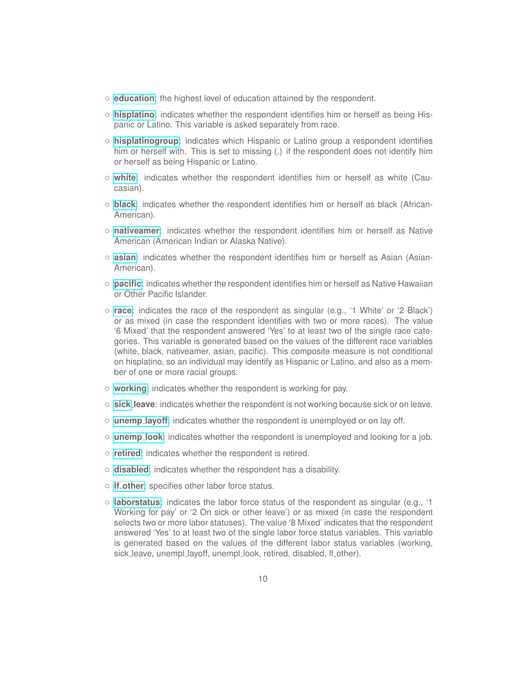- **[education](https://uasdata.usc.edu/index.php?r=eNo1i8sNgCAQRHvZAgiIB1mqWT4xJIhGwIuxdwHjZfIyM49wxju3gINWDzrjxBtXE4Nljgqxi85AJo6t3XIOrqNEkEr8pf_KhoJz3nFB6HqibZgKwbtqqYQ9gX5ecjUkDQ,,education)**: the highest level of education attained by the respondent.
- **[hisplatino](https://uasdata.usc.edu/index.php?r=eNo1i0sOQEAQRO_SB5D2SdBOU8yESZCJxkbcXQ-xqbxU1YNUcqkFRYyeOpWCjY9-DkPmsCM7sQX087vZTTW4hKVQ2eZ_6b_SMGfmhI1Q0lcsr1nbKWINOlF3PypYI0U,spanish)**: indicates whether the respondent identifies him or herself as being Hispanic or Latino. This variable is asked separately from race.
- **[hisplatinogroup](https://uasdata.usc.edu/index.php?r=eNo1i0EOgCAMBP_SBxBAD1peU5UgCVwiserF-HeLxstmsrtD2OLFElAoeHCMVgsfQ4qjmmhcJ3XSFmlI7yY35jhVbBCa3vyl_0pBo7Wu2CFUPdPymsbKq1COPIdtPQq4-wEFoiWespanishgroup)**: indicates which Hispanic or Latino group a respondent identifies him or herself with. This is set to missing (.) if the respondent does not identify him or herself as being Hispanic or Latino.
- **[white](https://uasdata.usc.edu/index.php?r=eNpLtDKxqi4GEkoFiempStbFVkYGQHZpUk5msl5KYkmiXlliUWZiUg5YDqisuDgzBcQ0tlIytjSECaZCBIFMQwMDAxDTwkoJpD0vMRes09RKqTwjswTIrgVcMONaXCJu)**: indicates whether the respondent identifies him or herself as white (Caucasian).
- **[black](https://uasdata.usc.edu/index.php?r=eNo1i1EKgCAQRO-yB5A1C2o9zZoSkkVk9RPdvdXoZ3jMzGNq6c4SsPEUwGZqUPh0KY7K88Hq4j2yS3WTW87RFzQEZtB_Gb5SUCNiwZ6g6Csv1ewIXFzicQb7vOJhXCJK)**: indicates whether the respondent identifies him or herself as black (African-American).
- **[nativeamer](https://uasdata.usc.edu/index.php?r=eNo1jEEOgCAMBP_SBxAQD1peU4QYEiQGkIvx7xaMl81k2l3CGe_CAVwn7R5MwUkyXzaGTTiqJBrlQDaOG7-VElxcR42gV_VL_0lGJaXsuCD0eqJjNBWvJqqheRYZzPMCuRkkpQ,,)**: indicates whether the respondent identifies him or herself as Native American (American Indian or Alaska Native).
- **[asian](https://uasdata.usc.edu/index.php?r=eNo1i0sKgDAQQ-8yB5DWD-h4mtQWGahcIo66Ee9uW3ETHkkeuOVbU9CGOdCoXFybxKeLMlUeB6oLu8DFsqWbqviMDVMz2L8MX5nQGmMy9kxZX7EUs2OCClYanxfivFwiWQ,,)**: indicates whether the respondent identifies him or herself as Asian (Asian-American).
- **[pacific](https://uasdata.usc.edu/index.php?r=eNpLtDKxqi4GEkoFiempStbFVkYGQHZpUk5msl5KYkmiXlliUWZiUg5YDqisuDgzBcQ0tlIytjSECaZCBIFMQwMDAxDTwkoJpD0vMRes0xxkQXJmWmayknUtXDApSCMe)**: indicates whether the respondent identifies him or herself as Native Hawaiian or Other Pacific Islander.
- **[race](https://uasdata.usc.edu/index.php?r=eNpLtDKxqi4GEkoFiempStbFVkYGQHZpUk5msl5KYkmiXlliUWZiUg5YDqisuDgzBcQ0tlIytjSECaZCBIFMQwMDAxDTwkoJpD0vMRemsygxGcisBVwwv-Yh5w,,)**: indicates the race of the respondent as singular (e.g., '1 White' or '2 Black') or as mixed (in case the respondent identifies with two or more races). The value '6 Mixed' that the respondent answered 'Yes' to at least two of the single race categories. This variable is generated based on the values of the different race variables (white, black, nativeamer, asian, pacific). This composite measure is not conditional on hisplatino, so an individual may identify as Hispanic or Latino, and also as a member of one or more racial groups.
- **[working](https://uasdata.usc.edu/index.php?r=eNpLtDKxqi4GEkoFiempStbFVkYGQHZpUk5msl5KYkmiXlliUWZiUg5YDqisuDgzBcQ0tlIytjSECaZCBIFMQwMDAxDTwkoJpD0vMRes09xKqTy_KDszL13JuhZcMCrNI1A,)**: indicates whether the respondent is working for pay.
- **[sick](https://uasdata.usc.edu/index.php?r=eNpLtDKxqi4GEkoFiempStbFVkYGQHZpUk5msl5KYkmiXlliUWZiUg5YDqisuDgzBcQ0tlIytjSECaZCBIFMQwMDAxDTwkoJpD0vMReuMzM5W8m6FlwwwDUh9g,,) leave**: indicates whether the respondent is not working because sick or on leave.
- **[unemp](https://uasdata.usc.edu/index.php?r=eNo1i1EOQDAQRO-yB5Bt-WB7GFmUNGlLFImIu9sSP5OXmXlMFV1JAhaeLJhEGoX3zru-GHjj4uDVceffTW4puSFjSVA26i_tVwoqRMxYE2Q9cnhNpQn2aMPSej7ncQRzPwUDJYA,) layoff**: indicates whether the respondent is unemployed or on lay off.
- **[unemp](https://uasdata.usc.edu/index.php?r=eNo1jE0KgCAQhe8yBwjNFjUdJsaUkCwls01090ajzePj_RF2eFwnFoi0WBgTtoI5a-_mxtBJzUWHI-1rxrWUnCmoENQgf9N-JqMUQhTsEcp8p60uJb_m3W5x8iGsMD4vuZwksg,,) look**: indicates whether the respondent is unemployed and looking for a job.
- **[retired](https://uasdata.usc.edu/index.php?r=eNo1i1EKgCAQRO-yBxDNoNpOs-YSgkWo9RPdvdXoZ3jMzCPs8c4ScNDKMGfstPDpYliUp0LqohTIxbbJLefgK1oEO5m_5K8UNFrriiNC1XfamjkgJC4hsfyeFypAIz4,)**: indicates whether the respondent is retired.
- **[disabled](https://uasdata.usc.edu/index.php?r=eNpLtDKxqi4GEkoFiempStbFVkYGQHZpUk5msl5KYkmiXlliUWZiUg5YDqisuDgzBcQ0tlIytjSECaZCBIFMQwMDAxDTwkoJpD0vMTcVxs0sBpkDVFgLXDBNRiOI)**: indicates whether the respondent has a disability.
- **lf [other](https://uasdata.usc.edu/index.php?r=eNpLtDKxqi4GEkoFiempStbFVkYGQHZpUk5msl5KYkmiXlliUWZiUg5YDqisuDgzBcQ0tlIytjSECaZCBIFMQwMDAxDTwkoJpD0vMTcVys1Ji88vyUgtUrKuBVwwTdojow,,)**: specifies other labor force status.
- **[laborstatus](https://uasdata.usc.edu/index.php?r=eNo1i0sOgCAQQ-8yBzCgLnQ4TRFjSPATBt0Y7y5g3DQvbR-451ty0IFlJiPcqsynDX5qHBKaC9HDhrrlm4h3BTumbtR_OX9lRq2UKjgwFX3DWk2tmQLsHiUhnULmeQHfEiUu)**: indicates the labor force status of the respondent as singular (e.g., '1 Working for pay' or '2 On sick or other leave') or as mixed (in case the respondent selects two or more labor statuses). The value '8 Mixed' indicates that the respondent answered 'Yes' to at least two of the single labor force status variables. This variable is generated based on the values of the different labor status variables (working, sick leave, unempl layoff, unempl look, retired, disabled, If other).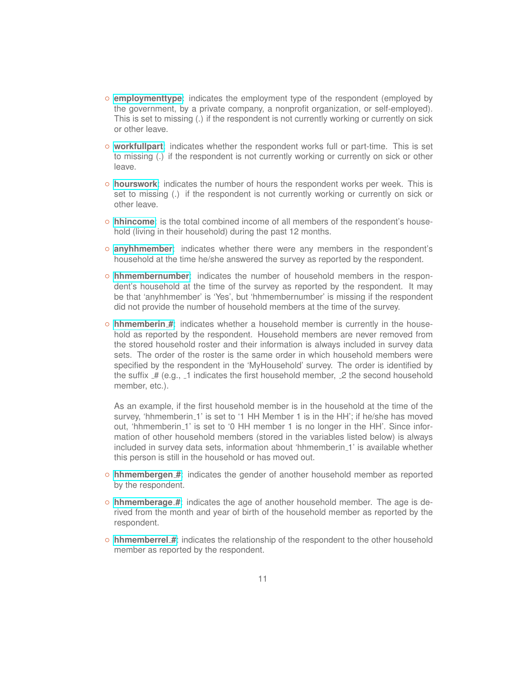- **[employmenttype](https://uasdata.usc.edu/index.php?r=eNo1i1EKgCAQRO_iAUSzj9pOs6aEoCZpgUR3bzX6GR5vZhBGuDMFS7hZtmQYBPGpvVu5wYL8wsOh9r2jWc7ONFTA1Cx_aT9JKIUQDVwnYO0eMfSnpMqG5PcabCylJrLPC1OpJok,)**: indicates the employment type of the respondent (employed by the government, by a private company, a nonprofit organization, or self-employed). This is set to missing (.) if the respondent is not currently working or currently on sick or other leave.
- **[workfullpart](https://uasdata.usc.edu/index.php?r=eNo1i0sOgCAMRO_SAxhAF1pOU78h1k8o6MJ4d0HjZvIyM4-wwktSwE7TXDBW0KjEsWXXFT0FKg7yjlp-t3QTcX3GEqFs9F8OX5lQK6Uy1ghZX2l5TW0Qzs3PY2TeyQew9wMGZyWo)**: indicates whether the respondent works full or part-time. This is set to missing (.) if the respondent is not currently working or currently on sick or other leave.
- **[hourswork](https://uasdata.usc.edu/index.php?r=eNo1i8kNgDAMBHtxAcgBHsRUYyCCiFMxxwPRO04Qn9Vod4eppFs0YOPeQS2Uo_LRTL7NOt45Ozl4bqa06U3EdxELgsKav3RfqWgQMWJFEPWF52RagmE9glxcaxihfl50JSRF)**: indicates the number of hours the respondent works per week. This is set to missing (.) if the respondent is not currently working or currently on sick or other leave.
- **[hhincome](https://uasdata.usc.edu/index.php?r=eNpLtDKxqi4GEkoFiempStbFVkYGQHZpUk5msl5KYkmiXlliUWZiUg5YDqisuDgzBcQ0tlIytjSECaZCBIFMQwMDAxDTwkoJpD0vMTcVys3IyMxLzgdxawFNuyOb)**: is the total combined income of all members of the respondent's household (living in their household) during the past 12 months.
- **[anyhhmember](https://uasdata.usc.edu/index.php?r=eNo1i1EKgCAQRO-yBxDNPmo9zZqSgkpoBRHdPTX6GR4z8whHvEsN2Gi1oAoOvPKhg1-YoZ3YSdmTDn2rt1K8aSgR5Cz-0n5lRcE5bzghND1R7KYQCJQu56KN2mZQzwveaiUK)**: indicates whether there were any members in the respondent's household at the time he/she answered the survey as reported by the respondent.
- **[hhmembernumber](https://uasdata.usc.edu/index.php?r=eNo1i0EOgCAMBP_SBxgQD1pfU6QREjBGxIvx7xaMl81kZ5dwwDtLwE4rw5yxV8LFxrB0jk7qLjoC2diczHIOrqJBMJP-S_5KQa2UqjhcItT7Rqk9tSjvE1wny8dWasL8vFFDJk4,)**: indicates the number of household members in the respondent's household at the time of the survey as reported by the respondent. It may be that 'anyhhmember' is 'Yes', but 'hhmembernumber' is missing if the respondent did not provide the number of household members at the time of the survey.
- **[hhmemberin](https://uasdata.usc.edu/index.php?r=eNo1i1EKgCAQRO-yBwjNPmo7TKwpKaiEVj_R3VuNfobHzDzCAe_CATttFuaCvWA-dfBrZ-ig7qLsSYe28a0UbyoqBDXJv7RfySiFEBVHhKpcJ4rNlD2Cc9FGbbNPC4vPCwLNJSo,) #**: indicates whether a household member is currently in the household as reported by the respondent. Household members are never removed from the stored household roster and their information is always included in survey data sets. The order of the roster is the same order in which household members were specified by the respondent in the 'MyHousehold' survey. The order is identified by the suffix  $H$  (e.g.,  $\overline{\ }$  1 indicates the first household member,  $\overline{\ }$  2 the second household member, etc.).

As an example, if the first household member is in the household at the time of the survey, 'hhmemberin\_1' is set to '1 HH Member 1 is in the HH'; if he/she has moved out, 'hhmemberin 1' is set to '0 HH member 1 is no longer in the HH'. Since information of other household members (stored in the variables listed below) is always included in survey data sets, information about 'hhmemberin<sub>-1</sub>' is available whether this person is still in the household or has moved out.

- **[hhmembergen](https://uasdata.usc.edu/index.php?r=eNo1i1EKgCAQRO-yBwitiNoOE2suKmSEVj_R3VuLfobHzDzCFq8sARs5hjFjrYQPs4S5srRTdVIKZJZ3k1vOwRZsEJpB_yV_paBWShXsEYq-UnxN3SF4HzkaTo5Xy2kS-X5cMJ5cIibM) #**: indicates the gender of another household member as reported by the respondent.
- **[hhmemberage](https://uasdata.usc.edu/index.php?r=eNpLtDKxqi4GEkoFiempStbFVkYGQHZpUk5msl5KYkmiXlliUWZiUg5YDqisuDgzBcQ0tlIytjSECaZCBIFMQwMDAxDTwkoJpD0vMRes0xCoPiMjNzU3KbUIaFE8UGctXDAojSWB) #**: indicates the age of another household member. The age is derived from the month and year of birth of the household member as reported by the respondent.
- **[hhmemberrel](https://uasdata.usc.edu/index.php?r=eNo1i1EKgCAQRO_iAUSzj9oOE2suKWiEVj_R3VuNfobHzDyEHu7CIXZcXElMBTrFfNoYFunwQHlhDmhj2_hWSnAVDQgz6r-kr2TUSqmKA4iqb5iaqfnvfaJkKWeKM5vPCykxJZc,) #**: indicates the relationship of the respondent to the other household member as reported by the respondent.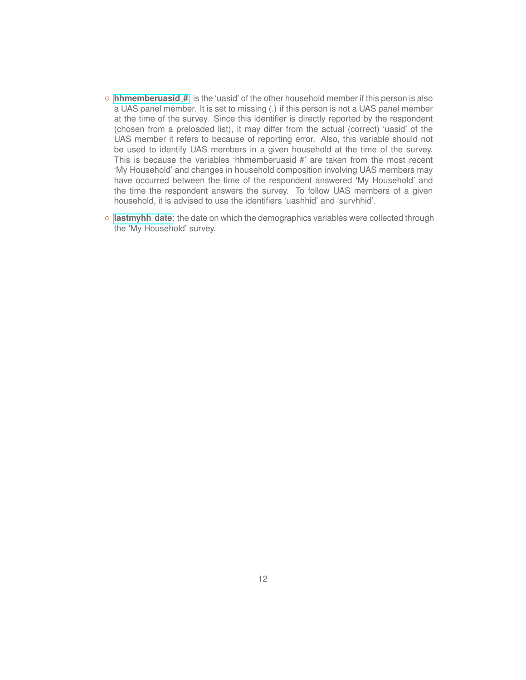- **[hhmemberuasid](https://uasdata.usc.edu/index.php?r=eNo1jFEKgCAQRO-yBxDNgtoOE2tKChqR2U9099ain-Exu28IW7wyB2y0OBgzNpK5mBhmYekgcdIeyMT3xm85B1tRI-hB_aX7SkYlpazYI1R9pfSaqkPwPrlk3F6INyZ27wd3HiZs) #**: is the 'uasid' of the other household member if this person is also a UAS panel member. It is set to missing (.) if this person is not a UAS panel member at the time of the survey. Since this identifier is directly reported by the respondent (chosen from a preloaded list), it may differ from the actual (correct) 'uasid' of the UAS member it refers to because of reporting error. Also, this variable should not be used to identify UAS members in a given household at the time of the survey. This is because the variables 'hhmemberuasid\_#' are taken from the most recent 'My Household' and changes in household composition involving UAS members may have occurred between the time of the respondent answered 'My Household' and the time the respondent answers the survey. To follow UAS members of a given household, it is advised to use the identifiers 'uashhid' and 'survhhid'.
- **[lastmyhh](https://uasdata.usc.edu/index.php?r=eNo1i1EKgCAQRO_iAUSzj9oOE2tKChrRWhDR3VuLfobHmxmEFi7iECvOXgwEjWLebYqTdFhQHrhFtOnteEYUXUUDwvT6l_6TjFopVbEDUe8L5vepeZ-QSj5DGLlgeT8rOCXj) date**: the date on which the demographics variables were collected through the 'My Household' survey.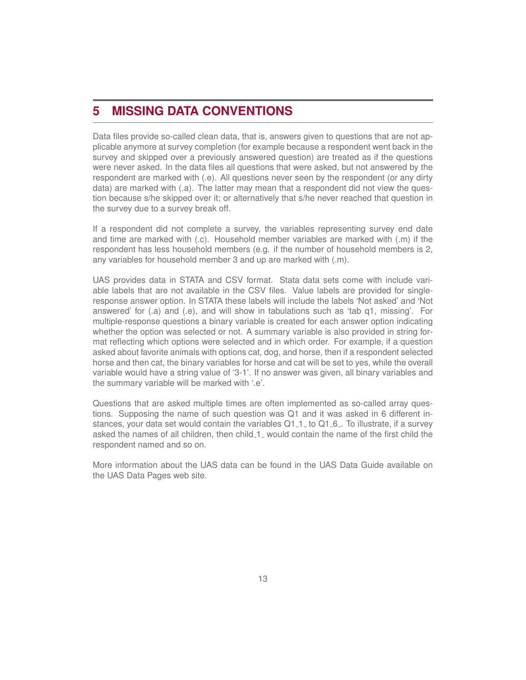## <span id="page-12-0"></span>**5 MISSING DATA CONVENTIONS**

Data files provide so-called clean data, that is, answers given to questions that are not applicable anymore at survey completion (for example because a respondent went back in the survey and skipped over a previously answered question) are treated as if the questions were never asked. In the data files all questions that were asked, but not answered by the respondent are marked with (.e). All questions never seen by the respondent (or any dirty data) are marked with (.a). The latter may mean that a respondent did not view the question because s/he skipped over it; or alternatively that s/he never reached that question in the survey due to a survey break off.

If a respondent did not complete a survey, the variables representing survey end date and time are marked with (.c). Household member variables are marked with (.m) if the respondent has less household members (e.g. if the number of household members is 2, any variables for household member 3 and up are marked with (.m).

UAS provides data in STATA and CSV format. Stata data sets come with include variable labels that are not available in the CSV files. Value labels are provided for singleresponse answer option. In STATA these labels will include the labels 'Not asked' and 'Not answered' for (.a) and (.e), and will show in tabulations such as 'tab q1, missing'. For multiple-response questions a binary variable is created for each answer option indicating whether the option was selected or not. A summary variable is also provided in string format reflecting which options were selected and in which order. For example, if a question asked about favorite animals with options cat, dog, and horse, then if a respondent selected horse and then cat, the binary variables for horse and cat will be set to yes, while the overall variable would have a string value of '3-1'. If no answer was given, all binary variables and the summary variable will be marked with '.e'.

Questions that are asked multiple times are often implemented as so-called array questions. Supposing the name of such question was Q1 and it was asked in 6 different instances, your data set would contain the variables  $Q1_1$  to  $Q1_6$ . To illustrate, if a survey asked the names of all children, then child 1 would contain the name of the first child the respondent named and so on.

More information about the UAS data can be found in the UAS Data Guide available on the UAS Data Pages web site.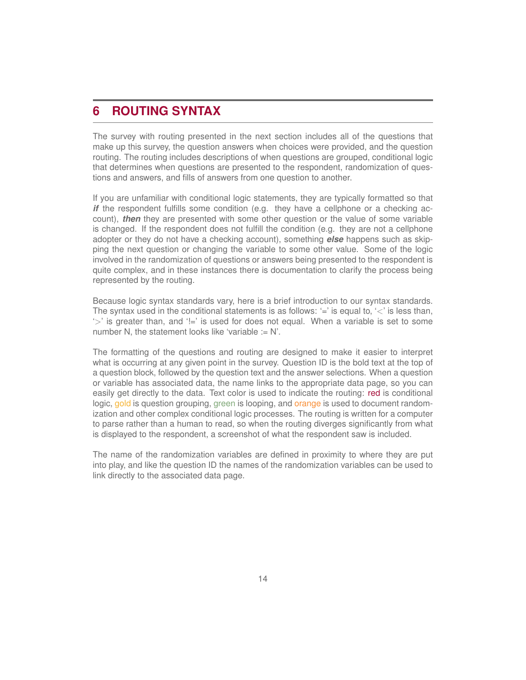## <span id="page-13-0"></span>**6 ROUTING SYNTAX**

The survey with routing presented in the next section includes all of the questions that make up this survey, the question answers when choices were provided, and the question routing. The routing includes descriptions of when questions are grouped, conditional logic that determines when questions are presented to the respondent, randomization of questions and answers, and fills of answers from one question to another.

If you are unfamiliar with conditional logic statements, they are typically formatted so that *if* the respondent fulfills some condition (e.g. they have a cellphone or a checking account), *then* they are presented with some other question or the value of some variable is changed. If the respondent does not fulfill the condition (e.g. they are not a cellphone adopter or they do not have a checking account), something *else* happens such as skipping the next question or changing the variable to some other value. Some of the logic involved in the randomization of questions or answers being presented to the respondent is quite complex, and in these instances there is documentation to clarify the process being represented by the routing.

Because logic syntax standards vary, here is a brief introduction to our syntax standards. The syntax used in the conditional statements is as follows:  $=$  is equal to,  $\le$  is less than, '>' is greater than, and '!=' is used for does not equal. When a variable is set to some number N, the statement looks like 'variable  $:= N'.$ 

The formatting of the questions and routing are designed to make it easier to interpret what is occurring at any given point in the survey. Question ID is the bold text at the top of a question block, followed by the question text and the answer selections. When a question or variable has associated data, the name links to the appropriate data page, so you can easily get directly to the data. Text color is used to indicate the routing: red is conditional logic, gold is question grouping, green is looping, and orange is used to document randomization and other complex conditional logic processes. The routing is written for a computer to parse rather than a human to read, so when the routing diverges significantly from what is displayed to the respondent, a screenshot of what the respondent saw is included.

The name of the randomization variables are defined in proximity to where they are put into play, and like the question ID the names of the randomization variables can be used to link directly to the associated data page.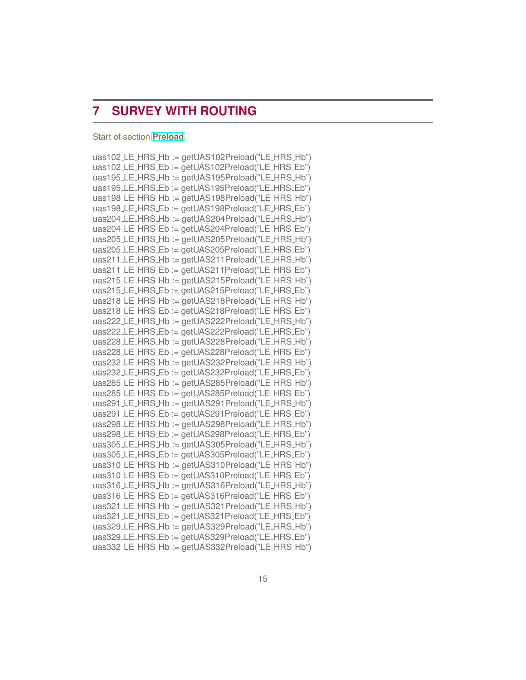## <span id="page-14-0"></span>**7 SURVEY WITH ROUTING**

#### <span id="page-14-1"></span>Start of section **[Preload](https://uasdata.usc.edu/section/uas391/preload)**

| uas102_LE_HRS_Hb := getUAS102Preload("LE_HRS_Hb") |
|---------------------------------------------------|
| uas102_LE_HRS_Eb := getUAS102Preload("LE_HRS_Eb") |
| uas195_LE_HRS_Hb := getUAS195Preload("LE_HRS_Hb") |
| uas195_LE_HRS_Eb := getUAS195Preload("LE_HRS_Eb") |
| uas198_LE_HRS_Hb := getUAS198Preload("LE_HRS_Hb") |
| uas198_LE_HRS_Eb := getUAS198Preload("LE_HRS_Eb") |
| uas204_LE_HRS_Hb := getUAS204Preload("LE_HRS_Hb") |
| uas204_LE_HRS_Eb := getUAS204Preload("LE_HRS_Eb") |
| uas205_LE_HRS_Hb := getUAS205Preload("LE_HRS_Hb") |
| uas205_LE_HRS_Eb := getUAS205Preload("LE_HRS_Eb") |
| uas211_LE_HRS_Hb := getUAS211Preload("LE_HRS_Hb") |
| uas211_LE_HRS_Eb := getUAS211Preload("LE_HRS_Eb") |
| uas215_LE_HRS_Hb := getUAS215Preload("LE_HRS_Hb") |
| uas215_LE_HRS_Eb := getUAS215Preload("LE_HRS_Eb") |
| uas218_LE_HRS_Hb := getUAS218Preload("LE_HRS_Hb") |
| uas218_LE_HRS_Eb := getUAS218Preload("LE_HRS_Eb") |
| uas222_LE_HRS_Hb := getUAS222Preload("LE_HRS_Hb") |
| uas222_LE_HRS_Eb := getUAS222Preload("LE_HRS_Eb") |
| uas228_LE_HRS_Hb := getUAS228Preload("LE_HRS_Hb") |
| uas228_LE_HRS_Eb := getUAS228Preload("LE_HRS_Eb") |
| uas232_LE_HRS_Hb := getUAS232Preload("LE_HRS_Hb") |
| uas232_LE_HRS_Eb := getUAS232Preload("LE_HRS_Eb") |
| uas285_LE_HRS_Hb := getUAS285Preload("LE_HRS_Hb") |
| uas285_LE_HRS_Eb := getUAS285Preload("LE_HRS_Eb") |
| uas291_LE_HRS_Hb := getUAS291Preload("LE_HRS_Hb") |
| uas291_LE_HRS_Eb := getUAS291Preload("LE_HRS_Eb") |
| uas298_LE_HRS_Hb := getUAS298Preload("LE_HRS_Hb") |
| uas298_LE_HRS_Eb := getUAS298Preload("LE_HRS_Eb") |
| uas305_LE_HRS_Hb := getUAS305Preload("LE_HRS_Hb") |
| uas305_LE_HRS_Eb := getUAS305Preload("LE_HRS_Eb") |
| uas310_LE_HRS_Hb := getUAS310Preload("LE_HRS_Hb") |
| uas310_LE_HRS_Eb := getUAS310Preload("LE_HRS_Eb") |
| uas316_LE_HRS_Hb := getUAS316Preload("LE_HRS_Hb") |
| uas316_LE_HRS_Eb := getUAS316Preload("LE_HRS_Eb") |
| uas321_LE_HRS_Hb := getUAS321Preload("LE_HRS_Hb") |
| uas321_LE_HRS_Eb := getUAS321Preload("LE_HRS_Eb") |
| uas329_LE_HRS_Hb := getUAS329Preload("LE_HRS_Hb") |
| uas329_LE_HRS_Eb := getUAS329Preload("LE_HRS_Eb") |
| uas332_LE_HRS_Hb := getUAS332Preload("LE_HRS_Hb") |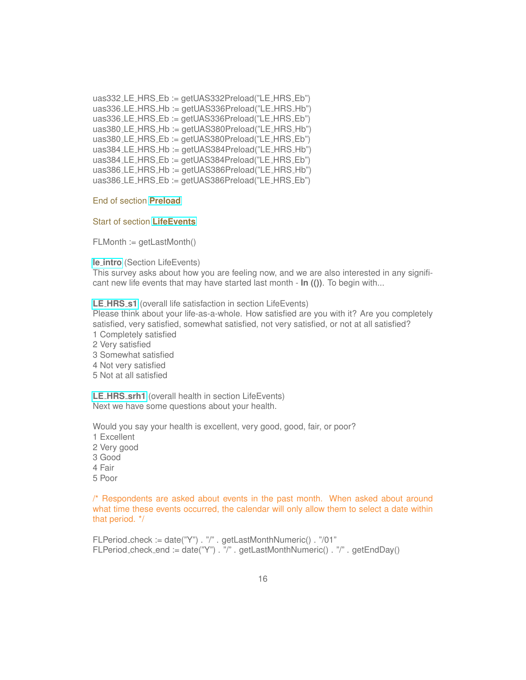uas332\_LE\_HRS\_Eb := getUAS332Preload("LE\_HRS\_Eb") uas336 LE HRS Hb := getUAS336Preload("LE HRS Hb") uas336 LE HRS Eb := getUAS336Preload("LE HRS Eb") uas380 LE HRS Hb := getUAS380Preload("LE HRS Hb") uas380 LE HRS Eb := getUAS380Preload("LE HRS Eb") uas384 LE HRS Hb := getUAS384Preload("LE HRS Hb") uas384\_LE\_HRS\_Eb := getUAS384Preload("LE\_HRS\_Eb") uas386 LE\_HRS\_Hb := getUAS386Preload("LE\_HRS\_Hb") uas386 LE HRS Eb := getUAS386Preload("LE HRS Eb")

#### End of section **[Preload](https://uasdata.usc.edu/index.php?r=eNpLtDK2qi62MrFSKkhMT1WyLrYytASyS5NyMpP1UhJLEvWKU5NLMvPzQFJAVcXFmSkgprGVkrGlIUwwFVwiCGQaGhgYK1nXAlwwmooZkg,,)**

#### <span id="page-15-0"></span>Start of section **[LifeEvents](https://uasdata.usc.edu/section/uas391/LifeEvents)**

FLMonth := getLastMonth()

**le\_[intro](https://uasdata.usc.edu/variable/uas391/le_intro)** (Section LifeEvents)

This survey asks about how you are feeling now, and we are also interested in any significant new life events that may have started last month - **In (())**. To begin with...

**LE [HRS](https://uasdata.usc.edu/variable/uas391/LE_HRS_s1) s1** (overall life satisfaction in section LifeEvents)

Please think about your life-as-a-whole. How satisfied are you with it? Are you completely satisfied, very satisfied, somewhat satisfied, not very satisfied, or not at all satisfied? 1 Completely satisfied

- 2 Very satisfied
- 3 Somewhat satisfied
- 4 Not very satisfied
- 5 Not at all satisfied

**LE HRS [srh1](https://uasdata.usc.edu/variable/uas391/LE_HRS_srh1)** (overall health in section LifeEvents) Next we have some questions about your health.

Would you say your health is excellent, very good, good, fair, or poor?

- 1 Excellent
- 2 Very good
- 3 Good
- 4 Fair
- 5 Poor

/\* Respondents are asked about events in the past month. When asked about around what time these events occurred, the calendar will only allow them to select a date within that period. \*/

FLPeriod check := date("Y") . "/" . getLastMonthNumeric() . "/01" FLPeriod check end := date("Y") . "/" . getLastMonthNumeric() . "/" . getEndDay()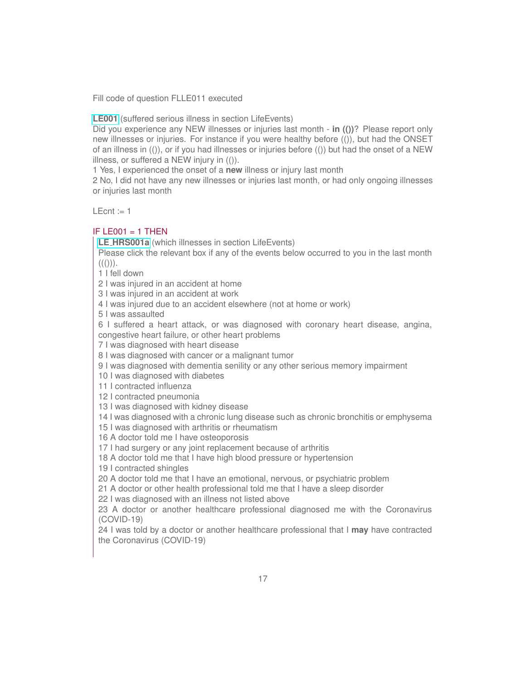Fill code of question FLLE011 executed

**[LE001](https://uasdata.usc.edu/variable/uas391/LE001)** (suffered serious illness in section LifeEvents)

Did you experience any NEW illnesses or injuries last month - **in (())**? Please report only new illnesses or injuries. For instance if you were healthy before (()), but had the ONSET of an illness in (()), or if you had illnesses or injuries before (()) but had the onset of a NEW illness, or suffered a NEW injury in (()).

1 Yes, I experienced the onset of a **new** illness or injury last month

2 No, I did not have any new illnesses or injuries last month, or had only ongoing illnesses or injuries last month

 $LEcnt := 1$ 

#### IF LE001  $=$  1 THEN

**LE [HRS001a](https://uasdata.usc.edu/variable/uas391/LE_HRS001a)** (which illnesses in section LifeEvents)

Please click the relevant box if any of the events below occurred to you in the last month  $((())).$ 

1 I fell down

2 I was injured in an accident at home

3 I was injured in an accident at work

4 I was injured due to an accident elsewhere (not at home or work)

5 I was assaulted

6 I suffered a heart attack, or was diagnosed with coronary heart disease, angina, congestive heart failure, or other heart problems

7 I was diagnosed with heart disease

8 I was diagnosed with cancer or a malignant tumor

9 I was diagnosed with dementia senility or any other serious memory impairment

10 I was diagnosed with diabetes

11 I contracted influenza

12 I contracted pneumonia

13 I was diagnosed with kidney disease

14 I was diagnosed with a chronic lung disease such as chronic bronchitis or emphysema

15 I was diagnosed with arthritis or rheumatism

16 A doctor told me I have osteoporosis

17 I had surgery or any joint replacement because of arthritis

18 A doctor told me that I have high blood pressure or hypertension

19 I contracted shingles

20 A doctor told me that I have an emotional, nervous, or psychiatric problem

21 A doctor or other health professional told me that I have a sleep disorder

22 I was diagnosed with an illness not listed above

23 A doctor or another healthcare professional diagnosed me with the Coronavirus (COVID-19)

24 I was told by a doctor or another healthcare professional that I **may** have contracted the Coronavirus (COVID-19)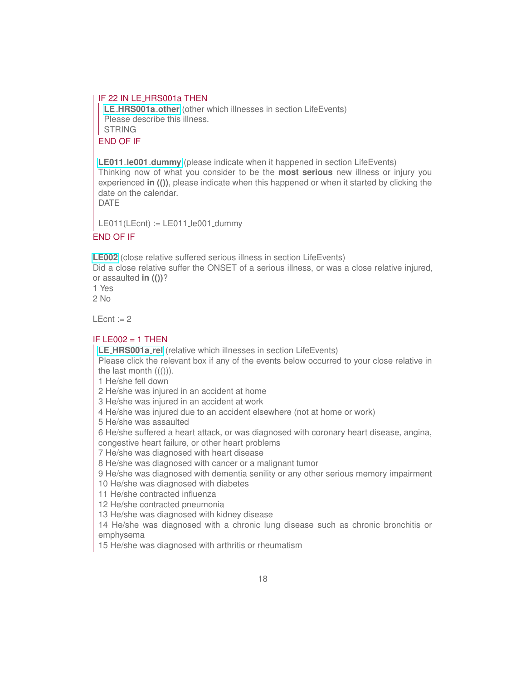#### IF 22 IN LE HRS001a THEN

**LE [HRS001a](https://uasdata.usc.edu/variable/uas391/LE_HRS001a_other) other** (other which illnesses in section LifeEvents) Please describe this illness. STRING END OF IF

**LE011 le001 [dummy](https://uasdata.usc.edu/variable/uas391/LE011_le001_dummy)** (please indicate when it happened in section LifeEvents) Thinking now of what you consider to be the **most serious** new illness or injury you experienced **in (())**, please indicate when this happened or when it started by clicking the date on the calendar. DATE

LE011(LEcnt)  $:=$  LE011  $\text{Le001}$  dummy

#### END OF IF

**[LE002](https://uasdata.usc.edu/variable/uas391/LE002)** (close relative suffered serious illness in section LifeEvents)

Did a close relative suffer the ONSET of a serious illness, or was a close relative injured, or assaulted **in (())**?

1 Yes

2 No

 $LEcnt := 2$ 

#### IF LE002  $=$  1 THEN

**LE [HRS001a](https://uasdata.usc.edu/variable/uas391/LE_HRS001a_rel) rel** (relative which illnesses in section LifeEvents)

Please click the relevant box if any of the events below occurred to your close relative in the last month  $((())$ ).

1 He/she fell down

2 He/she was injured in an accident at home

3 He/she was injured in an accident at work

4 He/she was injured due to an accident elsewhere (not at home or work)

5 He/she was assaulted

6 He/she suffered a heart attack, or was diagnosed with coronary heart disease, angina,

congestive heart failure, or other heart problems

7 He/she was diagnosed with heart disease

8 He/she was diagnosed with cancer or a malignant tumor

9 He/she was diagnosed with dementia senility or any other serious memory impairment

10 He/she was diagnosed with diabetes

11 He/she contracted influenza

12 He/she contracted pneumonia

13 He/she was diagnosed with kidney disease

14 He/she was diagnosed with a chronic lung disease such as chronic bronchitis or emphysema

15 He/she was diagnosed with arthritis or rheumatism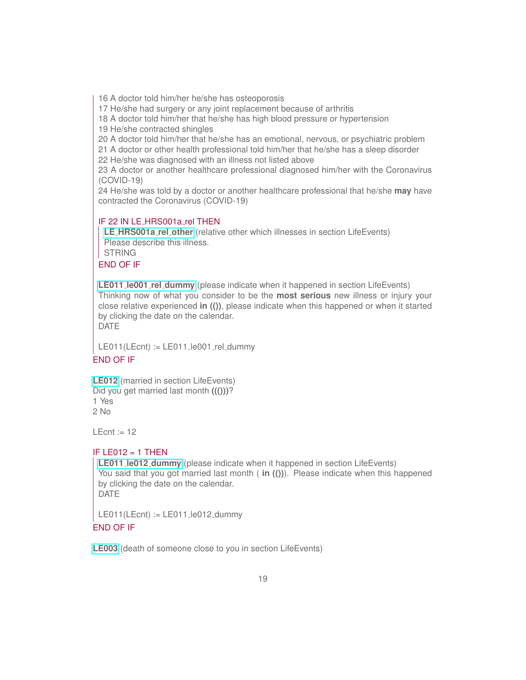16 A doctor told him/her he/she has osteoporosis

17 He/she had surgery or any joint replacement because of arthritis

18 A doctor told him/her that he/she has high blood pressure or hypertension

19 He/she contracted shingles

20 A doctor told him/her that he/she has an emotional, nervous, or psychiatric problem

21 A doctor or other health professional told him/her that he/she has a sleep disorder

22 He/she was diagnosed with an illness not listed above

23 A doctor or another healthcare professional diagnosed him/her with the Coronavirus (COVID-19)

24 He/she was told by a doctor or another healthcare professional that he/she **may** have contracted the Coronavirus (COVID-19)

#### IF 22 IN LE\_HRS001a\_rel THEN

**LE [HRS001a](https://uasdata.usc.edu/variable/uas391/LE_HRS001a_rel_other) rel other** (relative other which illnesses in section LifeEvents) Please describe this illness. STRING

#### END OF IF

**LE011 le001 rel [dummy](https://uasdata.usc.edu/variable/uas391/LE011_le001_rel_dummy)** (please indicate when it happened in section LifeEvents) Thinking now of what you consider to be the **most serious** new illness or injury your close relative experienced **in (())**, please indicate when this happened or when it started by clicking the date on the calendar. DATE

 $LE011(LEcnt) := LE011$  .  $le001$  rel dummy

#### END OF IF

**[LE012](https://uasdata.usc.edu/variable/uas391/LE012)** (married in section LifeEvents) Did you get married last month **((()))**? 1 Yes 2 No

 $L$  Fent := 12

#### IF LE012  $=$  1 THEN

**LE011 le012 [dummy](https://uasdata.usc.edu/variable/uas391/LE011_le012_dummy)** (please indicate when it happened in section LifeEvents) You said that you got married last month ( **in (())**). Please indicate when this happened by clicking the date on the calendar. DATE

LE011(LEcnt) := LE011\_le012\_dummy END OF IF

**[LE003](https://uasdata.usc.edu/variable/uas391/LE003)** (death of someone close to you in section LifeEvents)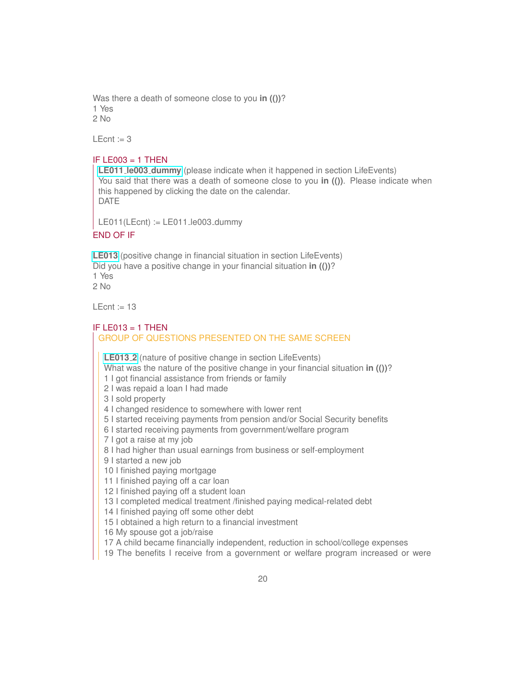Was there a death of someone close to you **in (())**? 1 Yes 2 No

LEcnt  $:= 3$ 

#### IF LE003  $=$  1 THEN

**LE011 le003 [dummy](https://uasdata.usc.edu/variable/uas391/LE011_le003_dummy)** (please indicate when it happened in section LifeEvents) You said that there was a death of someone close to you **in (())**. Please indicate when this happened by clicking the date on the calendar. DATE

LE011(LEcnt)  $:=$  LE011 le003 dummy

#### END OF IF

**[LE013](https://uasdata.usc.edu/variable/uas391/LE013)** (positive change in financial situation in section LifeEvents) Did you have a positive change in your financial situation **in (())**? 1 Yes  $2$  No

LEcnt  $= 13$ 

#### IF LE013  $=$  1 THEN GROUP OF QUESTIONS PRESENTED ON THE SAME SCREEN

**[LE013](https://uasdata.usc.edu/variable/uas391/LE013_2) 2** (nature of positive change in section LifeEvents)

What was the nature of the positive change in your financial situation **in (())**?

1 I got financial assistance from friends or family

2 I was repaid a loan I had made

3 I sold property

4 I changed residence to somewhere with lower rent

5 I started receiving payments from pension and/or Social Security benefits

6 I started receiving payments from government/welfare program

7 I got a raise at my job

8 I had higher than usual earnings from business or self-employment

9 I started a new job

10 I finished paying mortgage

11 I finished paying off a car loan

12 I finished paying off a student loan

13 I completed medical treatment /finished paying medical-related debt

14 I finished paying off some other debt

15 I obtained a high return to a financial investment

16 My spouse got a job/raise

17 A child became financially independent, reduction in school/college expenses

19 The benefits I receive from a government or welfare program increased or were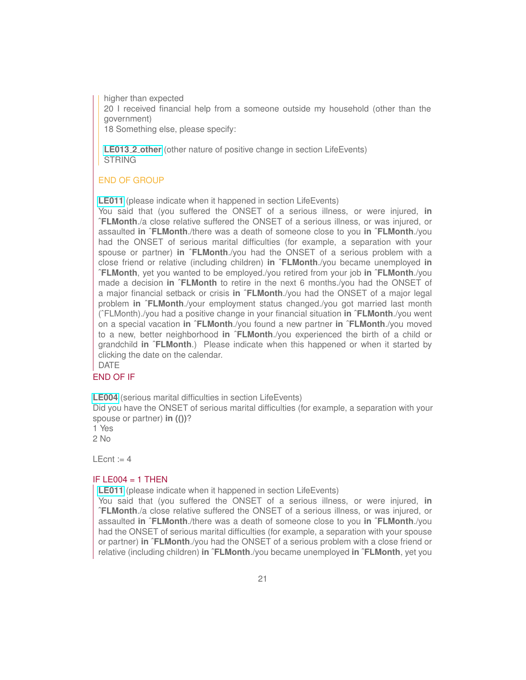higher than expected

20 I received financial help from a someone outside my household (other than the government)

18 Something else, please specify:

**[LE013](https://uasdata.usc.edu/variable/uas391/LE013_2_other) 2 other** (other nature of positive change in section LifeEvents) **STRING** 

#### END OF GROUP

**[LE011](https://uasdata.usc.edu/variable/uas391/LE011)** (please indicate when it happened in section LifeEvents)

You said that (you suffered the ONSET of a serious illness, or were injured, **in ˆFLMonth**./a close relative suffered the ONSET of a serious illness, or was injured, or assaulted **in ˆFLMonth**./there was a death of someone close to you **in ˆFLMonth**./you had the ONSET of serious marital difficulties (for example, a separation with your spouse or partner) **in ˆFLMonth**./you had the ONSET of a serious problem with a close friend or relative (including children) **in ˆFLMonth**./you became unemployed **in ˆFLMonth**, yet you wanted to be employed./you retired from your job **in ˆFLMonth**./you made a decision **in ˆFLMonth** to retire in the next 6 months./you had the ONSET of a major financial setback or crisis **in ˆFLMonth**./you had the ONSET of a major legal problem **in ˆFLMonth**./your employment status changed./you got married last month (ˆFLMonth)./you had a positive change in your financial situation **in ˆFLMonth**./you went on a special vacation **in ˆFLMonth**./you found a new partner **in ˆFLMonth**./you moved to a new, better neighborhood **in ˆFLMonth**./you experienced the birth of a child or grandchild **in ˆFLMonth**.) Please indicate when this happened or when it started by clicking the date on the calendar.

DATE

#### END OF IF

**[LE004](https://uasdata.usc.edu/variable/uas391/LE004)** (serious marital difficulties in section LifeEvents)

Did you have the ONSET of serious marital difficulties (for example, a separation with your spouse or partner) **in (())**?

1 Yes

2 No

 $LEcnt := 4$ 

#### IF LE004  $=$  1 THEN

**[LE011](https://uasdata.usc.edu/variable/uas391/LE011)** (please indicate when it happened in section LifeEvents)

You said that (you suffered the ONSET of a serious illness, or were injured, **in ˆFLMonth**./a close relative suffered the ONSET of a serious illness, or was injured, or assaulted **in ˆFLMonth**./there was a death of someone close to you **in ˆFLMonth**./you had the ONSET of serious marital difficulties (for example, a separation with your spouse or partner) **in ˆFLMonth**./you had the ONSET of a serious problem with a close friend or relative (including children) **in ˆFLMonth**./you became unemployed **in ˆFLMonth**, yet you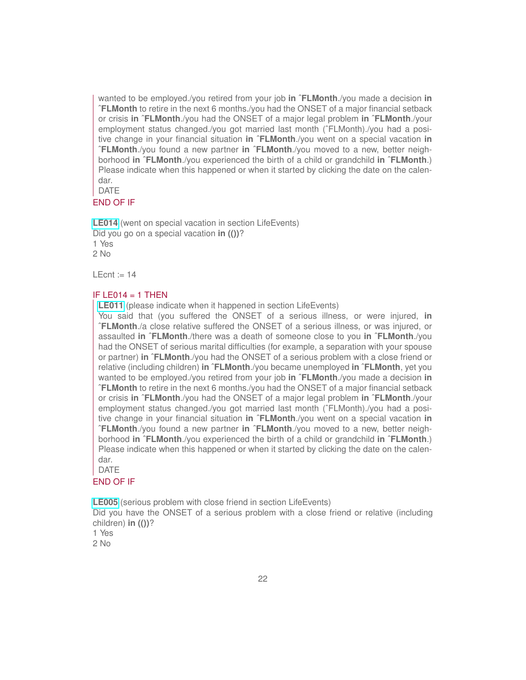wanted to be employed./you retired from your job **in ˆFLMonth**./you made a decision **in ˆFLMonth** to retire in the next 6 months./you had the ONSET of a major financial setback or crisis **in ˆFLMonth**./you had the ONSET of a major legal problem **in ˆFLMonth**./your employment status changed./you got married last month (ˆFLMonth)./you had a positive change in your financial situation **in ˆFLMonth**./you went on a special vacation **in ˆFLMonth**./you found a new partner **in ˆFLMonth**./you moved to a new, better neighborhood **in ˆFLMonth**./you experienced the birth of a child or grandchild **in ˆFLMonth**.) Please indicate when this happened or when it started by clicking the date on the calendar.

#### DATE

#### END OF IF

**[LE014](https://uasdata.usc.edu/variable/uas391/LE014)** (went on special vacation in section LifeEvents) Did you go on a special vacation **in (())**? 1 Yes  $2$  No

 $LEcnt := 14$ 

#### IF LE014  $=$  1 THEN

**[LE011](https://uasdata.usc.edu/variable/uas391/LE011)** (please indicate when it happened in section LifeEvents)

You said that (you suffered the ONSET of a serious illness, or were injured, **in ˆFLMonth**./a close relative suffered the ONSET of a serious illness, or was injured, or assaulted **in ˆFLMonth**./there was a death of someone close to you **in ˆFLMonth**./you had the ONSET of serious marital difficulties (for example, a separation with your spouse or partner) **in ˆFLMonth**./you had the ONSET of a serious problem with a close friend or relative (including children) **in ˆFLMonth**./you became unemployed **in ˆFLMonth**, yet you wanted to be employed./you retired from your job **in ˆFLMonth**./you made a decision **in ˆFLMonth** to retire in the next 6 months./you had the ONSET of a major financial setback or crisis **in ˆFLMonth**./you had the ONSET of a major legal problem **in ˆFLMonth**./your employment status changed./you got married last month (ˆFLMonth)./you had a positive change in your financial situation **in ˆFLMonth**./you went on a special vacation **in ˆFLMonth**./you found a new partner **in ˆFLMonth**./you moved to a new, better neighborhood **in ˆFLMonth**./you experienced the birth of a child or grandchild **in ˆFLMonth**.) Please indicate when this happened or when it started by clicking the date on the calendar.

DATE

#### END OF IF

**[LE005](https://uasdata.usc.edu/variable/uas391/LE005)** (serious problem with close friend in section LifeEvents)

Did you have the ONSET of a serious problem with a close friend or relative (including children) **in (())**?

1 Yes 2 No

22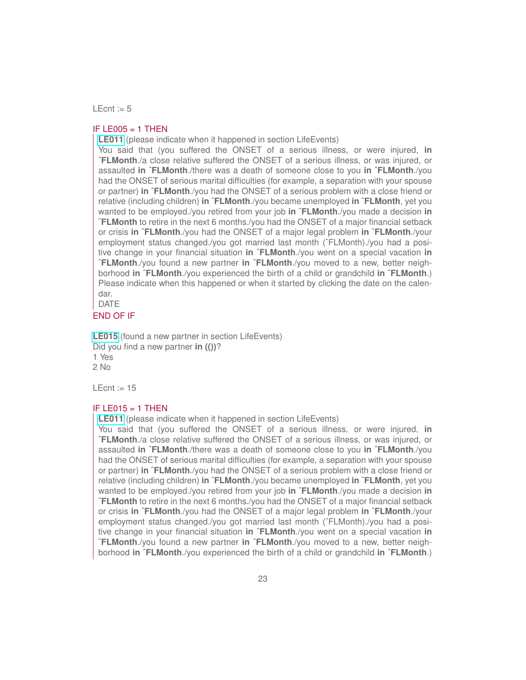$LEcnt := 5$ 

#### IF LE005  $=$  1 THEN

**[LE011](https://uasdata.usc.edu/variable/uas391/LE011)** (please indicate when it happened in section LifeEvents)

You said that (you suffered the ONSET of a serious illness, or were injured, **in ˆFLMonth**./a close relative suffered the ONSET of a serious illness, or was injured, or assaulted **in ˆFLMonth**./there was a death of someone close to you **in ˆFLMonth**./you had the ONSET of serious marital difficulties (for example, a separation with your spouse or partner) **in ˆFLMonth**./you had the ONSET of a serious problem with a close friend or relative (including children) **in ˆFLMonth**./you became unemployed **in ˆFLMonth**, yet you wanted to be employed./you retired from your job **in ˆFLMonth**./you made a decision **in ˆFLMonth** to retire in the next 6 months./you had the ONSET of a major financial setback or crisis **in ˆFLMonth**./you had the ONSET of a major legal problem **in ˆFLMonth**./your employment status changed./you got married last month (ˆFLMonth)./you had a positive change in your financial situation **in ˆFLMonth**./you went on a special vacation **in ˆFLMonth**./you found a new partner **in ˆFLMonth**./you moved to a new, better neighborhood **in ˆFLMonth**./you experienced the birth of a child or grandchild **in ˆFLMonth**.) Please indicate when this happened or when it started by clicking the date on the calendar.

DATE

#### END OF IF

**[LE015](https://uasdata.usc.edu/variable/uas391/LE015)** (found a new partner in section LifeEvents) Did you find a new partner **in (())**? 1 Yes 2 No

LEcnt  $:= 15$ 

#### IF LE015  $=$  1 THEN

**[LE011](https://uasdata.usc.edu/variable/uas391/LE011)** (please indicate when it happened in section LifeEvents)

You said that (you suffered the ONSET of a serious illness, or were injured, **in ˆFLMonth**./a close relative suffered the ONSET of a serious illness, or was injured, or assaulted **in ˆFLMonth**./there was a death of someone close to you **in ˆFLMonth**./you had the ONSET of serious marital difficulties (for example, a separation with your spouse or partner) **in ˆFLMonth**./you had the ONSET of a serious problem with a close friend or relative (including children) **in ˆFLMonth**./you became unemployed **in ˆFLMonth**, yet you wanted to be employed./you retired from your job **in ˆFLMonth**./you made a decision **in ˆFLMonth** to retire in the next 6 months./you had the ONSET of a major financial setback or crisis **in ˆFLMonth**./you had the ONSET of a major legal problem **in ˆFLMonth**./your employment status changed./you got married last month (ˆFLMonth)./you had a positive change in your financial situation **in ˆFLMonth**./you went on a special vacation **in ˆFLMonth**./you found a new partner **in ˆFLMonth**./you moved to a new, better neighborhood **in ˆFLMonth**./you experienced the birth of a child or grandchild **in ˆFLMonth**.)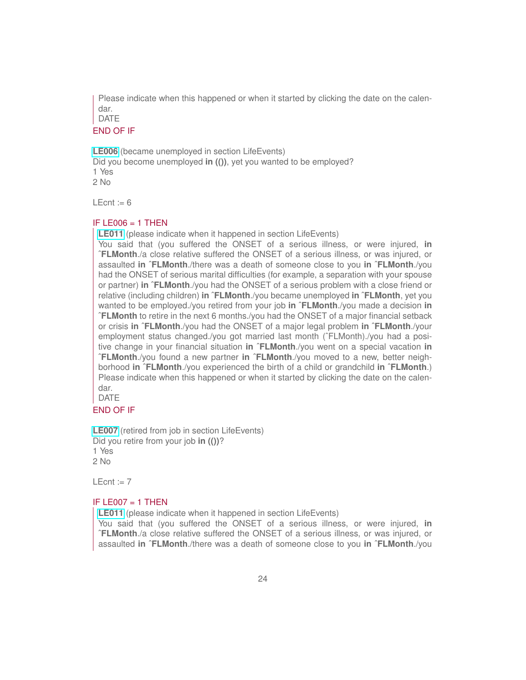Please indicate when this happened or when it started by clicking the date on the calendar.

DATE

#### END OF IF

**[LE006](https://uasdata.usc.edu/variable/uas391/LE006)** (became unemployed in section LifeEvents) Did you become unemployed **in (())**, yet you wanted to be employed? 1 Yes  $2$  No

 $L$  Ecnt := 6

#### $IF$  LE006 = 1 THEN

**[LE011](https://uasdata.usc.edu/variable/uas391/LE011)** (please indicate when it happened in section LifeEvents)

You said that (you suffered the ONSET of a serious illness, or were injured, **in ˆFLMonth**./a close relative suffered the ONSET of a serious illness, or was injured, or assaulted **in ˆFLMonth**./there was a death of someone close to you **in ˆFLMonth**./you had the ONSET of serious marital difficulties (for example, a separation with your spouse or partner) **in ˆFLMonth**./you had the ONSET of a serious problem with a close friend or relative (including children) **in ˆFLMonth**./you became unemployed **in ˆFLMonth**, yet you wanted to be employed./you retired from your job **in ˆFLMonth**./you made a decision **in ˆFLMonth** to retire in the next 6 months./you had the ONSET of a major financial setback or crisis **in ˆFLMonth**./you had the ONSET of a major legal problem **in ˆFLMonth**./your employment status changed./you got married last month (ˆFLMonth)./you had a positive change in your financial situation **in ˆFLMonth**./you went on a special vacation **in ˆFLMonth**./you found a new partner **in ˆFLMonth**./you moved to a new, better neighborhood **in ˆFLMonth**./you experienced the birth of a child or grandchild **in ˆFLMonth**.) Please indicate when this happened or when it started by clicking the date on the calendar.

DATE

#### END OF IF

**[LE007](https://uasdata.usc.edu/variable/uas391/LE007)** (retired from job in section LifeEvents) Did you retire from your job **in (())**? 1 Yes  $2$  No

 $LEcnt := 7$ 

#### IF LE007  $=$  1 THEN

**[LE011](https://uasdata.usc.edu/variable/uas391/LE011)** (please indicate when it happened in section LifeEvents)

You said that (you suffered the ONSET of a serious illness, or were injured, **in ˆFLMonth**./a close relative suffered the ONSET of a serious illness, or was injured, or assaulted **in ˆFLMonth**./there was a death of someone close to you **in ˆFLMonth**./you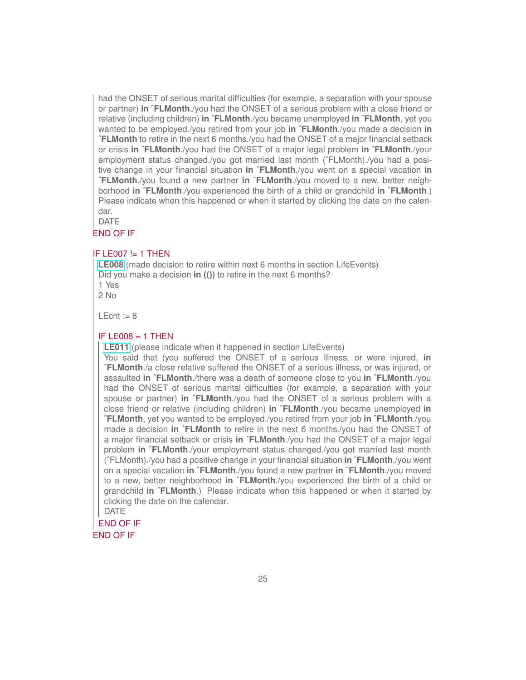had the ONSET of serious marital difficulties (for example, a separation with your spouse or partner) **in ˆFLMonth**./you had the ONSET of a serious problem with a close friend or relative (including children) **in ˆFLMonth**./you became unemployed **in ˆFLMonth**, yet you wanted to be employed./you retired from your job **in ˆFLMonth**./you made a decision **in ˆFLMonth** to retire in the next 6 months./you had the ONSET of a major financial setback or crisis **in ˆFLMonth**./you had the ONSET of a major legal problem **in ˆFLMonth**./your employment status changed./you got married last month (^FLMonth)./you had a positive change in your financial situation **in ˆFLMonth**./you went on a special vacation **in ˆFLMonth**./you found a new partner **in ˆFLMonth**./you moved to a new, better neighborhood **in ˆFLMonth**./you experienced the birth of a child or grandchild **in ˆFLMonth**.) Please indicate when this happened or when it started by clicking the date on the calendar.

DATE

### END OF IF

#### IF LE007  $!=$  1 THEN

**[LE008](https://uasdata.usc.edu/variable/uas391/LE008)** (made decision to retire within next 6 months in section LifeEvents) Did you make a decision **in (())** to retire in the next 6 months? 1 Yes  $2$  No

 $I$  Ecnt := 8

#### IF LE008  $=$  1 THEN

**[LE011](https://uasdata.usc.edu/variable/uas391/LE011)** (please indicate when it happened in section LifeEvents)

You said that (you suffered the ONSET of a serious illness, or were injured, **in ˆFLMonth**./a close relative suffered the ONSET of a serious illness, or was injured, or assaulted **in ˆFLMonth**./there was a death of someone close to you **in ˆFLMonth**./you had the ONSET of serious marital difficulties (for example, a separation with your spouse or partner) **in ˆFLMonth**./you had the ONSET of a serious problem with a close friend or relative (including children) **in ˆFLMonth**./you became unemployed **in ˆFLMonth**, yet you wanted to be employed./you retired from your job **in ˆFLMonth**./you made a decision **in ˆFLMonth** to retire in the next 6 months./you had the ONSET of a major financial setback or crisis **in ˆFLMonth**./you had the ONSET of a major legal problem **in ˆFLMonth**./your employment status changed./you got married last month (ˆFLMonth)./you had a positive change in your financial situation **in ˆFLMonth**./you went on a special vacation **in ˆFLMonth**./you found a new partner **in ˆFLMonth**./you moved to a new, better neighborhood **in ˆFLMonth**./you experienced the birth of a child or grandchild **in ˆFLMonth**.) Please indicate when this happened or when it started by clicking the date on the calendar. DATE

END OF IF

#### END OF IF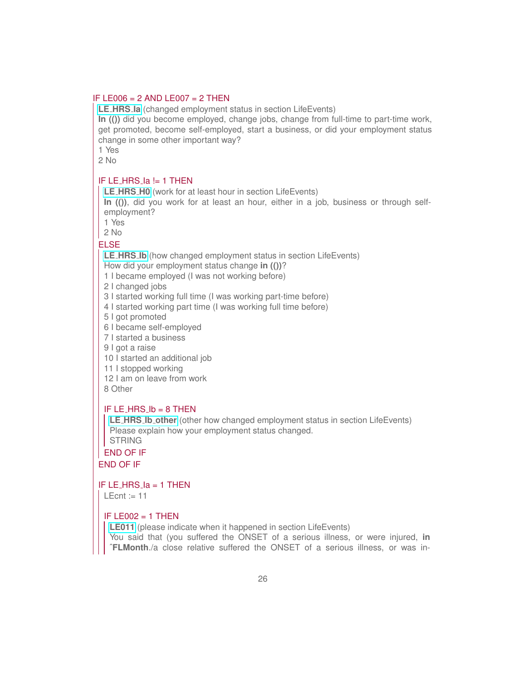#### IF LE006 = 2 AND LE007 = 2 THEN

**LE [HRS](https://uasdata.usc.edu/variable/uas391/LE_HRS_Ia) Ia** (changed employment status in section LifeEvents) **In (())** did you become employed, change jobs, change from full-time to part-time work,

get promoted, become self-employed, start a business, or did your employment status change in some other important way?

1 Yes

2 No

### IF LE HRS Ia != 1 THEN

**LE [HRS](https://uasdata.usc.edu/variable/uas391/LE_HRS_H0) H0** (work for at least hour in section LifeEvents)

**In (())**, did you work for at least an hour, either in a job, business or through selfemployment?

1 Yes

 $2$  No

#### ELSE

**LE [HRS](https://uasdata.usc.edu/variable/uas391/LE_HRS_Ib) Ib** (how changed employment status in section LifeEvents)

How did your employment status change **in (())**?

1 I became employed (I was not working before)

2 I changed jobs

3 I started working full time (I was working part-time before)

4 I started working part time (I was working full time before)

5 I got promoted

6 I became self-employed

7 I started a business

9 I got a raise

10 I started an additional job

11 I stopped working

12 I am on leave from work

8 Other

#### IF LE\_HRS\_ $lb = 8$  THEN

**LE HRS Ib [other](https://uasdata.usc.edu/variable/uas391/LE_HRS_Ib_other)** (other how changed employment status in section LifeEvents) Please explain how your employment status changed.

**STRING** END OF IF

END OF IF

IF LE HRS Ia = 1 THEN

 $\mathsf{LEcnt} := 11$ 

#### IF LE002  $=$  1 THEN

**[LE011](https://uasdata.usc.edu/variable/uas391/LE011)** (please indicate when it happened in section LifeEvents)

You said that (you suffered the ONSET of a serious illness, or were injured, **in ˆFLMonth**./a close relative suffered the ONSET of a serious illness, or was in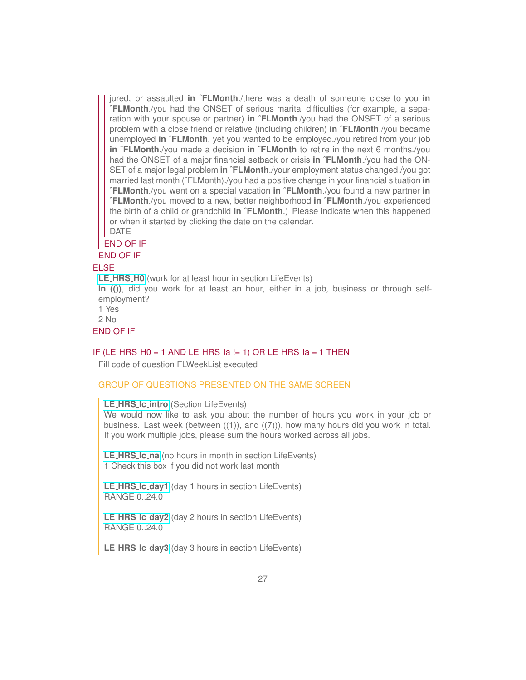jured, or assaulted **in ˆFLMonth**./there was a death of someone close to you **in ˆFLMonth**./you had the ONSET of serious marital difficulties (for example, a separation with your spouse or partner) **in ˆFLMonth**./you had the ONSET of a serious problem with a close friend or relative (including children) **in ˆFLMonth**./you became unemployed **in ˆFLMonth**, yet you wanted to be employed./you retired from your job **in ˆFLMonth**./you made a decision **in ˆFLMonth** to retire in the next 6 months./you had the ONSET of a major financial setback or crisis **in ˆFLMonth**./you had the ON-SET of a major legal problem **in ˆFLMonth**./your employment status changed./you got married last month (ˆFLMonth)./you had a positive change in your financial situation **in ˆFLMonth**./you went on a special vacation **in ˆFLMonth**./you found a new partner **in ˆFLMonth**./you moved to a new, better neighborhood **in ˆFLMonth**./you experienced the birth of a child or grandchild **in ˆFLMonth**.) Please indicate when this happened or when it started by clicking the date on the calendar.

DATE

#### END OF IF

END OF IF

#### ELSE

**LE [HRS](https://uasdata.usc.edu/variable/uas391/LE_HRS_H0) H0** (work for at least hour in section LifeEvents)

**In (())**, did you work for at least an hour, either in a job, business or through selfemployment?

1 Yes

2 No

END OF IF

#### IF (LE\_HRS\_H0 = 1 AND LE\_HRS\_la != 1) OR LE\_HRS\_la = 1 THEN

Fill code of question FLWeekList executed

#### GROUP OF QUESTIONS PRESENTED ON THE SAME SCREEN

#### **LE HRS Ic [intro](https://uasdata.usc.edu/variable/uas391/LE_HRS_Ic_intro)** (Section LifeEvents)

We would now like to ask you about the number of hours you work in your job or business. Last week (between  $((1))$ , and  $((7))$ ), how many hours did you work in total. If you work multiple jobs, please sum the hours worked across all jobs.

**LE [HRS](https://uasdata.usc.edu/variable/uas391/LE_HRS_Ic_na) Ic na** (no hours in month in section LifeEvents) 1 Check this box if you did not work last month

**LE HRS Ic [day1](https://uasdata.usc.edu/variable/uas391/LE_HRS_Ic_day1)** (day 1 hours in section LifeEvents) RANGE 0..24.0

**LE HRS Ic [day2](https://uasdata.usc.edu/variable/uas391/LE_HRS_Ic_day2)** (day 2 hours in section LifeEvents) RANGE 0..24.0

**LE HRS Ic [day3](https://uasdata.usc.edu/variable/uas391/LE_HRS_Ic_day3)** (day 3 hours in section LifeEvents)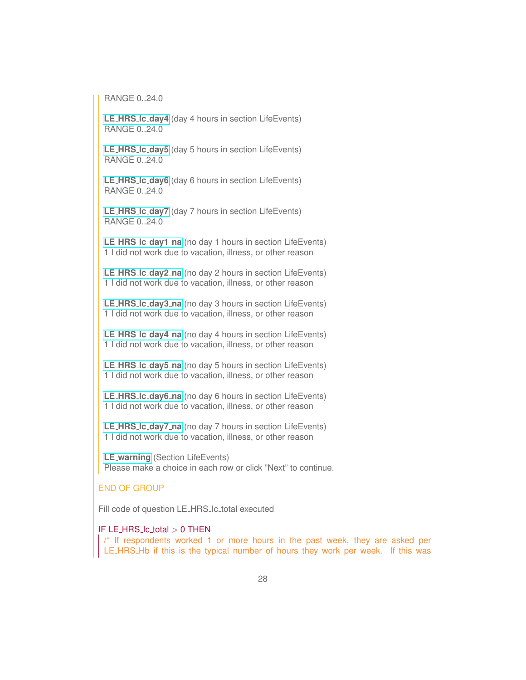**RANGE 0.24.0** 

**LE HRS Ic [day4](https://uasdata.usc.edu/variable/uas391/LE_HRS_Ic_day4)** (day 4 hours in section LifeEvents) RANGE 0..24.0

**LE HRS Ic [day5](https://uasdata.usc.edu/variable/uas391/LE_HRS_Ic_day5)** (day 5 hours in section LifeEvents) RANGE 0..24.0

**LE HRS Ic [day6](https://uasdata.usc.edu/variable/uas391/LE_HRS_Ic_day6)** (day 6 hours in section LifeEvents) RANGE 0..24.0

**LE HRS Ic [day7](https://uasdata.usc.edu/variable/uas391/LE_HRS_Ic_day7)** (day 7 hours in section LifeEvents) RANGE 0..24.0

**LE HRS Ic [day1](https://uasdata.usc.edu/variable/uas391/LE_HRS_Ic_day1_na) na** (no day 1 hours in section LifeEvents) 1 I did not work due to vacation, illness, or other reason

**LE HRS Ic [day2](https://uasdata.usc.edu/variable/uas391/LE_HRS_Ic_day2_na) na** (no day 2 hours in section LifeEvents) 1 I did not work due to vacation, illness, or other reason

**LE HRS Ic [day3](https://uasdata.usc.edu/variable/uas391/LE_HRS_Ic_day3_na) na** (no day 3 hours in section LifeEvents) 1 I did not work due to vacation, illness, or other reason

**LE HRS Ic [day4](https://uasdata.usc.edu/variable/uas391/LE_HRS_Ic_day4_na) na** (no day 4 hours in section LifeEvents) 1 I did not work due to vacation, illness, or other reason

**LE HRS Ic [day5](https://uasdata.usc.edu/variable/uas391/LE_HRS_Ic_day5_na) na** (no day 5 hours in section LifeEvents) 1 I did not work due to vacation, illness, or other reason

**LE HRS Ic [day6](https://uasdata.usc.edu/variable/uas391/LE_HRS_Ic_day6_na) na** (no day 6 hours in section LifeEvents) 1 I did not work due to vacation, illness, or other reason

**LE HRS Ic [day7](https://uasdata.usc.edu/variable/uas391/LE_HRS_Ic_day7_na) na** (no day 7 hours in section LifeEvents) 1 I did not work due to vacation, illness, or other reason

**LE [warning](https://uasdata.usc.edu/variable/uas391/LE_warning)** (Section LifeEvents) Please make a choice in each row or click "Next" to continue.

#### END OF GROUP

Fill code of question LE\_HRS\_lc\_total executed

#### IF LE HRS Ic total > 0 THEN

/\* If respondents worked 1 or more hours in the past week, they are asked per LE HRS Hb if this is the typical number of hours they work per week. If this was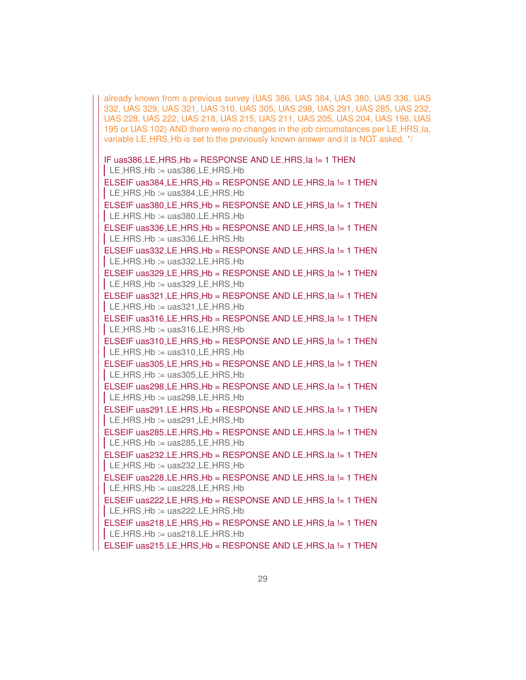already known from a previous survey (UAS 386, UAS 384, UAS 380, UAS 336, UAS 332, UAS 329, UAS 321, UAS 310, UAS 305, UAS 298, UAS 291, UAS 285, UAS 232, UAS 228, UAS 222, UAS 218, UAS 215, UAS 211, UAS 205, UAS 204, UAS 198, UAS 195 or UAS 102) AND there were no changes in the job circumstances per LE HRS Ia, variable LE HRS Hb is set to the previously known answer and it is NOT asked. \*/

```
IF uas386 LE HRS Hb = RESPONSE AND LE HRS Ia != 1 THEN
\vert LE_HRS_Hb := uas386_LE_HRS_Hb
ELSEIF uas384_LE_HRS_Hb = RESPONSE AND LE_HRS_la != 1 THEN
\vert LE_HRS_Hb := uas384_LE_HRS_Hb
ELSEIF uas380 LE_HRS_Hb = RESPONSE AND LE_HRS_la != 1 THEN
\vert LE_HRS_Hb := uas380_LE_HRS_Hb
ELSEIF uas336 LE HRS Hb = RESPONSE AND LE HRS Ia != 1 THEN
\vert LE HRS Hb := uas 336 LE HRS Hb
ELSEIF uas332 LE_HRS_Hb = RESPONSE AND LE_HRS_la != 1 THEN
\vert LE_HRS_Hb := uas332_LE_HRS_Hb
ELSEIF uas329 LE_HRS_Hb = RESPONSE AND LE_HRS_la != 1 THEN
\vert LE HRS Hb := uas329 LE HRS Hb
ELSEIF uas321 LE_HRS_Hb = RESPONSE AND LE_HRS_la != 1 THEN
\vert LE_HRS_Hb := uas321_LE_HRS_Hb
ELSEIF uas316 LE HRS Hb = RESPONSE AND LE HRS Ia != 1 THEN
\vert LE_HRS_Hb := uas316_LE_HRS_Hb
ELSEIF uas310 LE HRS Hb = RESPONSE AND LE HRS Ia != 1 THEN
\vert LE_HRS_Hb := uas310_LE_HRS_Hb
ELSEIF uas305_LE_HRS_Hb = RESPONSE AND LE_HRS_la != 1 THEN
\vert LE HRS Hb := uas 305 LE HRS Hb
ELSEIF uas298 LE_HRS_Hb = RESPONSE AND LE_HRS_la != 1 THEN
\vert LE_HRS_Hb := uas298_LE_HRS_Hb
ELSEIF uas291_LE_HRS_Hb = RESPONSE AND LE_HRS_la != 1 THEN
\vert LE_HRS_Hb := uas291_LE_HRS_Hb
ELSEIF uas285 LE HRS Hb = RESPONSE AND LE HRS Ia != 1 THEN
\vert LE_HRS_Hb := uas285_LE_HRS_Hb
ELSEIF uas232 LE HRS Hb = RESPONSE AND LE HRS Ia != 1 THEN
\vert LE HRS Hb := uas232 LE HRS Hb
ELSEIF uas228 LE_HRS_Hb = RESPONSE AND LE_HRS_la != 1 THEN
\vert LE_HRS_Hb := uas228_LE_HRS_Hb
ELSEIF uas222 LE_HRS_Hb = RESPONSE AND LE_HRS_la != 1 THEN
LE_HRS_Hb := \text{uas222.}\text{LE_HRS_Hb}ELSEIF uas218 LE_HRS_Hb = RESPONSE AND LE_HRS_la != 1 THEN
\vert LE_HRS_Hb := uas218_LE_HRS_Hb
ELSEIF uas215_LE_HRS_Hb = RESPONSE AND LE_HRS_la != 1 THEN
```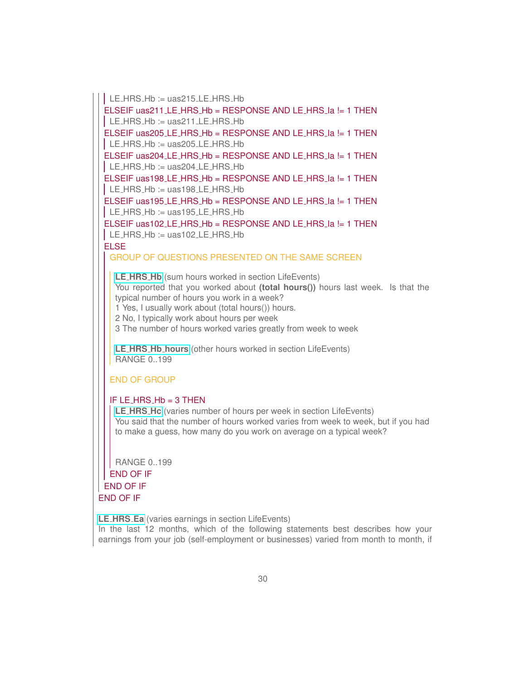LE\_HRS\_Hb := uas215\_LE\_HRS\_Hb

ELSEIF uas211\_LE\_HRS\_Hb = RESPONSE AND LE\_HRS\_Ia != 1 THEN  $\vert$  LE\_HRS\_Hb := uas211\_LE\_HRS\_Hb ELSEIF uas205\_LE\_HRS\_Hb = RESPONSE AND LE\_HRS\_la != 1 THEN  $\vert$  LE HRS Hb := uas 205 LE HRS Hb ELSEIF uas204 LE HRS Hb = RESPONSE AND LE HRS Ia != 1 THEN  $\vert$  LE\_HRS\_Hb := uas204\_LE\_HRS\_Hb ELSEIF uas198\_LE\_HRS\_Hb = RESPONSE AND LE\_HRS\_la != 1 THEN  $\vert$  LE\_HRS\_Hb := uas198\_LE\_HRS\_Hb ELSEIF uas195 LE\_HRS\_Hb = RESPONSE AND LE\_HRS\_la != 1 THEN  $\vert$  LE\_HRS\_Hb := uas195\_LE\_HRS\_Hb ELSEIF uas102 LE\_HRS\_Hb = RESPONSE AND LE\_HRS\_la != 1 THEN  $\vert$  LE HRS Hb := uas102 LE HRS Hb ELSE

GROUP OF QUESTIONS PRESENTED ON THE SAME SCREEN

**LE [HRS](https://uasdata.usc.edu/variable/uas391/LE_HRS_Hb) Hb** (sum hours worked in section LifeEvents) You reported that you worked about **(total hours())** hours last week. Is that the typical number of hours you work in a week? 1 Yes, I usually work about (total hours()) hours.

2 No, I typically work about hours per week

3 The number of hours worked varies greatly from week to week

**LE HRS Hb [hours](https://uasdata.usc.edu/variable/uas391/LE_HRS_Hb_hours)** (other hours worked in section LifeEvents) RANGE 0..199

#### END OF GROUP

#### IF LE\_HRS\_Hb  $=$  3 THEN

**LE [HRS](https://uasdata.usc.edu/variable/uas391/LE_HRS_Hc) Hc** (varies number of hours per week in section LifeEvents) You said that the number of hours worked varies from week to week, but if you had to make a guess, how many do you work on average on a typical week?

RANGE 0..199 END OF IF END OF IF END OF IF

**LE [HRS](https://uasdata.usc.edu/variable/uas391/LE_HRS_Ea) Ea** (varies earnings in section LifeEvents)

In the last 12 months, which of the following statements best describes how your earnings from your job (self-employment or businesses) varied from month to month, if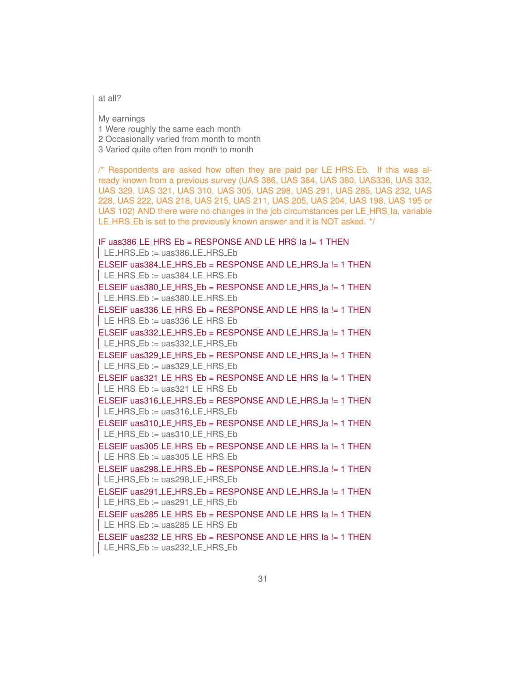at all?

My earnings 1 Were roughly the same each month

2 Occasionally varied from month to month

3 Varied quite often from month to month

/\* Respondents are asked how often they are paid per LE HRS Eb. If this was already known from a previous survey (UAS 386, UAS 384, UAS 380, UAS336, UAS 332, UAS 329, UAS 321, UAS 310, UAS 305, UAS 298, UAS 291, UAS 285, UAS 232, UAS 228, UAS 222, UAS 218, UAS 215, UAS 211, UAS 205, UAS 204, UAS 198, UAS 195 or UAS 102) AND there were no changes in the job circumstances per LE\_HRS\_la, variable LE\_HRS\_Eb is set to the previously known answer and it is NOT asked. \*/

IF uas386 LE HRS Eb = RESPONSE AND LE HRS Ia != 1 THEN  $\vert$  LE\_HRS\_Eb := uas386\_LE\_HRS\_Eb ELSEIF uas384\_LE\_HRS\_Eb = RESPONSE AND LE\_HRS\_Ia != 1 THEN  $\vert$  LE HRS Eb := uas 384 LE HRS Eb ELSEIF uas380 LE HRS Eb = RESPONSE AND LE HRS Ia != 1 THEN  $\vert$  LE\_HRS\_Eb := uas380\_LE\_HRS\_Eb ELSEIF uas336\_LE\_HRS\_Eb = RESPONSE AND LE\_HRS\_la != 1 THEN  $\vert$  LE HRS Eb := uas 336 LE HRS Eb ELSEIF uas332 LE HRS Eb = RESPONSE AND LE HRS Ia != 1 THEN  $\vert$  LE\_HRS\_Eb := uas332\_LE\_HRS\_Eb ELSEIF uas329 LE HRS Eb = RESPONSE AND LE HRS Ia != 1 THEN LE\_HRS\_Eb := uas329\_LE\_HRS\_Eb ELSEIF uas321 LE\_HRS\_Eb = RESPONSE AND LE\_HRS\_la != 1 THEN  $\vert$  LE\_HRS\_Eb := uas321\_LE\_HRS\_Eb ELSEIF uas316\_LE\_HRS\_Eb = RESPONSE AND LE\_HRS\_la != 1 THEN LE\_HRS\_Eb := uas316\_LE\_HRS\_Eb ELSEIF uas310 LE HRS Eb = RESPONSE AND LE HRS Ia != 1 THEN  $\vert$  LE\_HRS\_Eb := uas310\_LE\_HRS\_Eb ELSEIF uas305 LE HRS Eb = RESPONSE AND LE HRS Ia != 1 THEN  $LE_HRS_Eb := uas305LE_HRS_Eb$ ELSEIF uas298 LE HRS Eb = RESPONSE AND LE HRS Ia != 1 THEN | LE\_HRS\_Eb := uas298\_LE\_HRS\_Eb ELSEIF uas291\_LE\_HRS\_Eb = RESPONSE AND LE\_HRS\_la != 1 THEN  $LE_HRS_E$  = uas291 LE HRS Eb ELSEIF uas285.LE\_HRS\_Eb = RESPONSE AND LE\_HRS\_la != 1 THEN  $\vert$  LE\_HRS\_Eb := uas285\_LE\_HRS\_Eb ELSEIF uas232 LE HRS Eb = RESPONSE AND LE HRS la != 1 THEN  $LE_HRS_Eb := \text{uas232.LE_HRS_Eb}$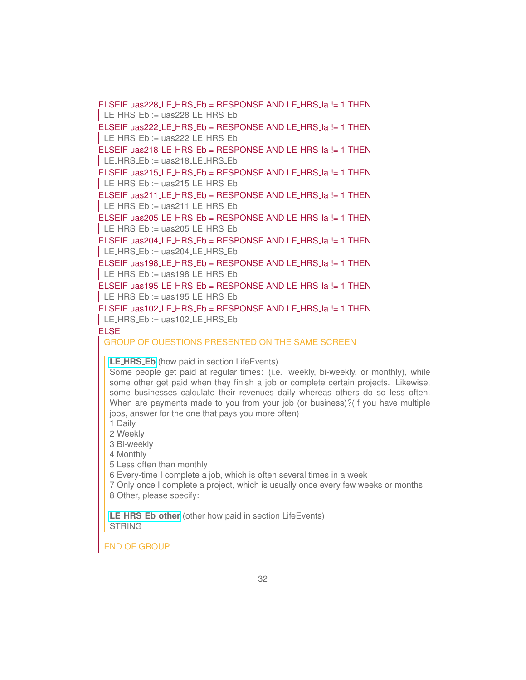ELSEIF uas228 LE HRS Eb = RESPONSE AND LE HRS Ia != 1 THEN  $\vert$  LE\_HRS\_Eb := uas228\_LE\_HRS\_Eb ELSEIF uas222 LE HRS Eb = RESPONSE AND LE HRS Ia != 1 THEN  $\vert$  LE\_HRS\_Eb := uas222\_LE\_HRS\_Eb ELSEIF uas218 LE\_HRS\_Eb = RESPONSE AND LE\_HRS\_la != 1 THEN  $\vert$  LE\_HRS\_Eb := uas218\_LE\_HRS\_Eb ELSEIF uas215 LE HRS Eb = RESPONSE AND LE HRS Ia != 1 THEN  $LE_HRS_Eb := \text{uas215}\_E_HRS_Eb$ ELSEIF uas211 LE HRS Eb = RESPONSE AND LE HRS Ia != 1 THEN  $\vert$  LE HRS Eb := uas211 LE HRS Eb ELSEIF uas205\_LE\_HRS\_Eb = RESPONSE AND LE\_HRS\_la != 1 THEN  $LE_HRS_Eb := \text{uas205}\_E_HRS_Eb$ ELSEIF uas204 LE HRS Eb = RESPONSE AND LE HRS Ia != 1 THEN  $\vert$  LE HRS Eb := uas204 LE HRS Eb ELSEIF uas198 LE\_HRS\_Eb = RESPONSE AND LE\_HRS\_la != 1 THEN  $LE_HRS_Eb := \text{uas198}\_E_HRS_Eb$ ELSEIF uas195 LE\_HRS\_Eb = RESPONSE AND LE\_HRS\_la != 1 THEN  $\vert$  LE\_HRS\_Eb := uas195\_LE\_HRS\_Eb ELSEIF uas102 LE HRS Eb = RESPONSE AND LE HRS Ia != 1 THEN

 $LE_HRS_Eb := \text{uas102.LE_HRS_Eb}$ 

#### ELSE

GROUP OF QUESTIONS PRESENTED ON THE SAME SCREEN

**LE [HRS](https://uasdata.usc.edu/variable/uas391/LE_HRS_Eb) Eb** (how paid in section LifeEvents)

Some people get paid at regular times: (i.e. weekly, bi-weekly, or monthly), while some other get paid when they finish a job or complete certain projects. Likewise, some businesses calculate their revenues daily whereas others do so less often. When are payments made to you from your job (or business)?(If you have multiple jobs, answer for the one that pays you more often)

1 Daily

2 Weekly

3 Bi-weekly

4 Monthly

5 Less often than monthly

6 Every-time I complete a job, which is often several times in a week

7 Only once I complete a project, which is usually once every few weeks or months 8 Other, please specify:

**LE HRS Eb [other](https://uasdata.usc.edu/variable/uas391/LE_HRS_Eb_other)** (other how paid in section LifeEvents) **STRING** 

END OF GROUP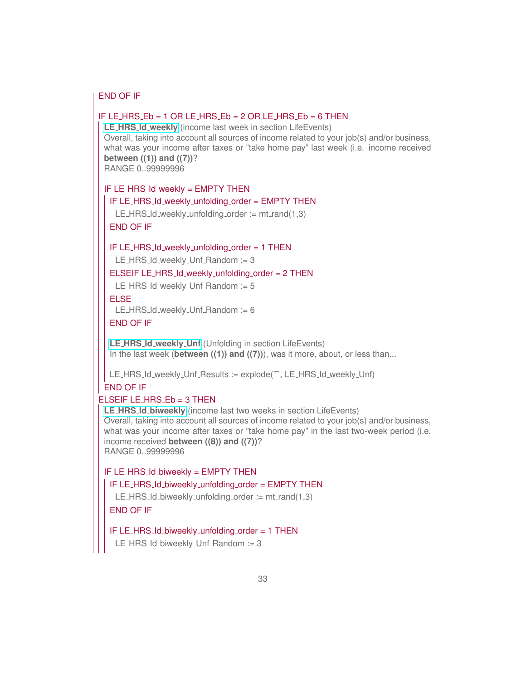#### END OF IF

#### IF LE HRS  $Eb = 1$  OR LE HRS  $Eb = 2$  OR LE HRS  $Eb = 6$  THEN

**LE HRS Id [weekly](https://uasdata.usc.edu/variable/uas391/LE_HRS_Id_weekly)** (income last week in section LifeEvents) Overall, taking into account all sources of income related to your job(s) and/or business, what was your income after taxes or "take home pay" last week (i.e. income received **between ((1)) and ((7))**? RANGE 0..99999996

IF LE HRS Id weekly = EMPTY THEN

IF LE\_HRS\_Id\_weekly\_unfolding\_order = EMPTY THEN

LE HRS Id weekly unfolding order :=  $mt$  rand(1,3) END OF IF

IF LE\_HRS\_Id\_weekly\_unfolding\_order = 1 THEN

 $LE_HRS_l$  LE\_HRS Id\_weekly Unf Random := 3

#### ELSEIF LE\_HRS\_Id\_weekly\_unfolding\_order = 2 THEN

LE\_HRS\_Id\_weekly\_Unf\_Random := 5

#### ELSE

LE\_HRS\_Id\_weekly\_Unf\_Random  $:= 6$ 

#### END OF IF

**LE HRS Id [weekly](https://uasdata.usc.edu/variable/uas391/LE_HRS_Id_weekly_Unf) Unf** (Unfolding in section LifeEvents) In the last week (**between ((1)) and ((7))**), was it more, about, or less than...

LE\_HRS\_Id\_weekly\_Unf\_Results := explode("", LE\_HRS\_Id\_weekly\_Unf)

#### END OF IF ELSEIF LE HRS  $Eb = 3$  THEN

**LE HRS Id [biweekly](https://uasdata.usc.edu/variable/uas391/LE_HRS_Id_biweekly)** (income last two weeks in section LifeEvents) Overall, taking into account all sources of income related to your job(s) and/or business, what was your income after taxes or "take home pay" in the last two-week period (i.e. income received **between ((8)) and ((7))**? RANGE 0..99999996

#### IF LE HRS Id biweekly = EMPTY THEN

#### IF LE HRS Id biweekly unfolding order = EMPTY THEN

LE HRS Id biweekly unfolding order  $:= \text{mt\_rand}(1,3)$ 

#### END OF IF

#### IF LE HRS Id biweekly unfolding order = 1 THEN

LE\_HRS\_Id\_biweekly\_Unf\_Random := 3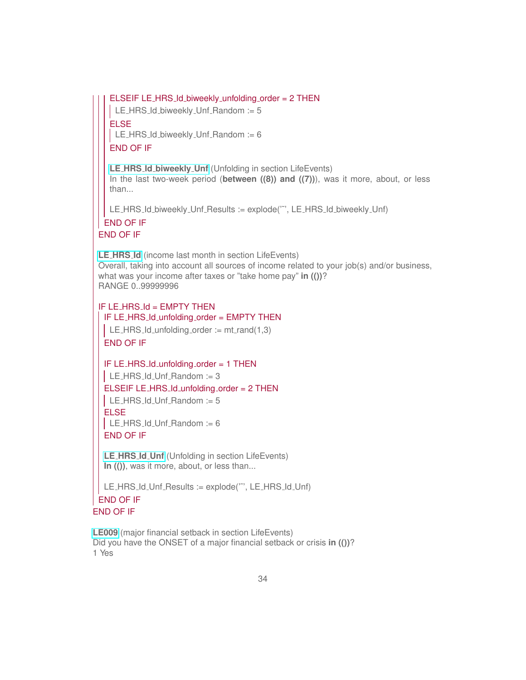ELSEIF LE\_HRS\_Id\_biweekly\_unfolding\_order = 2 THEN

LE\_HRS\_Id\_biweekly\_Unf\_Random := 5

ELSE

 $\vert$  LE\_HRS\_Id\_biweekly\_Unf\_Random := 6

END OF IF

**LE HRS Id [biweekly](https://uasdata.usc.edu/variable/uas391/LE_HRS_Id_biweekly_Unf) Unf** (Unfolding in section LifeEvents) In the last two-week period (**between ((8)) and ((7))**), was it more, about, or less than...

LE\_HRS\_Id\_biweekly\_Unf\_Results := explode("", LE\_HRS\_Id\_biweekly\_Unf)

#### END OF IF END OF IF

**LE [HRS](https://uasdata.usc.edu/variable/uas391/LE_HRS_Id) Id** (income last month in section LifeEvents) Overall, taking into account all sources of income related to your job(s) and/or business, what was your income after taxes or "take home pay" **in (())**? RANGE 0..99999996

IF LE\_HRS\_Id = EMPTY THEN IF LE\_HRS\_Id\_unfolding\_order = EMPTY THEN LE\_HRS\_Id\_unfolding\_order  $:=$  mt\_rand(1,3)

END OF IF

IF LE\_HRS\_Id\_unfolding\_order = 1 THEN  $\vert$  LE\_HRS\_Id\_Unf\_Random := 3 ELSEIF LE HRS Id unfolding order = 2 THEN  $LE_HRS_l$  LE HRS Id Unf Random := 5 ELSE  $LE_HRS$  Id Unf Random := 6 END OF IF

**LE [HRS](https://uasdata.usc.edu/variable/uas391/LE_HRS_Id_Unf) Id Unf** (Unfolding in section LifeEvents) **In (())**, was it more, about, or less than...

LE\_HRS\_Id\_Unf\_Results := explode("", LE\_HRS\_Id\_Unf) END OF IF END OF IF

**[LE009](https://uasdata.usc.edu/variable/uas391/LE009)** (major financial setback in section LifeEvents) Did you have the ONSET of a major financial setback or crisis **in (())**? 1 Yes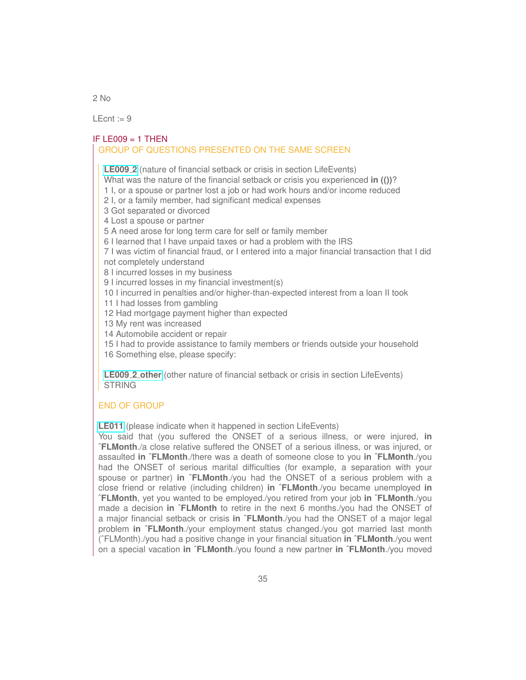$2$  No

LEcnt  $:= 9$ 

#### $IF$  LE009 = 1 THEN

#### GROUP OF QUESTIONS PRESENTED ON THE SAME SCREEN

**[LE009](https://uasdata.usc.edu/variable/uas391/LE009_2) 2** (nature of financial setback or crisis in section LifeEvents)

What was the nature of the financial setback or crisis you experienced **in (())**?

1 I, or a spouse or partner lost a job or had work hours and/or income reduced

2 I, or a family member, had significant medical expenses

3 Got separated or divorced

4 Lost a spouse or partner

5 A need arose for long term care for self or family member

6 I learned that I have unpaid taxes or had a problem with the IRS

7 I was victim of financial fraud, or I entered into a major financial transaction that I did not completely understand

8 I incurred losses in my business

9 I incurred losses in my financial investment(s)

10 I incurred in penalties and/or higher-than-expected interest from a loan II took

11 I had losses from gambling

12 Had mortgage payment higher than expected

13 My rent was increased

14 Automobile accident or repair

15 I had to provide assistance to family members or friends outside your household

16 Something else, please specify:

**[LE009](https://uasdata.usc.edu/variable/uas391/LE009_2_other) 2 other** (other nature of financial setback or crisis in section LifeEvents) **STRING** 

#### END OF GROUP

**[LE011](https://uasdata.usc.edu/variable/uas391/LE011)** (please indicate when it happened in section LifeEvents)

You said that (you suffered the ONSET of a serious illness, or were injured, **in ˆFLMonth**./a close relative suffered the ONSET of a serious illness, or was injured, or assaulted **in ˆFLMonth**./there was a death of someone close to you **in ˆFLMonth**./you had the ONSET of serious marital difficulties (for example, a separation with your spouse or partner) **in ˆFLMonth**./you had the ONSET of a serious problem with a close friend or relative (including children) **in ˆFLMonth**./you became unemployed **in ˆFLMonth**, yet you wanted to be employed./you retired from your job **in ˆFLMonth**./you made a decision **in ˆFLMonth** to retire in the next 6 months./you had the ONSET of a major financial setback or crisis **in ˆFLMonth**./you had the ONSET of a major legal problem **in ˆFLMonth**./your employment status changed./you got married last month (ˆFLMonth)./you had a positive change in your financial situation **in ˆFLMonth**./you went on a special vacation **in ˆFLMonth**./you found a new partner **in ˆFLMonth**./you moved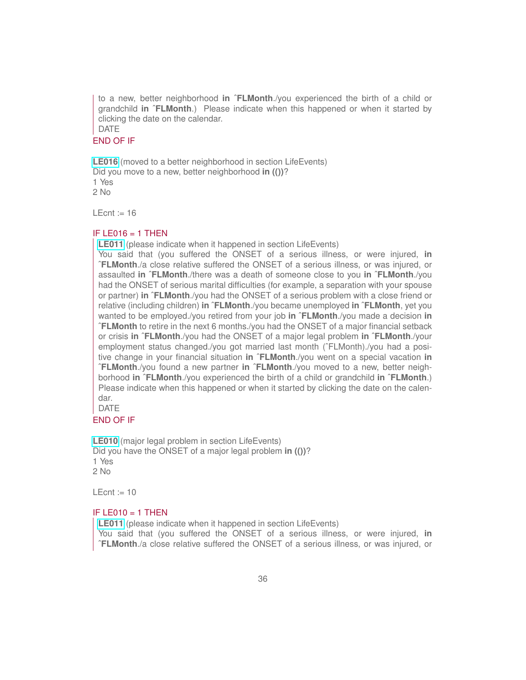to a new, better neighborhood **in ˆFLMonth**./you experienced the birth of a child or grandchild **in ˆFLMonth**.) Please indicate when this happened or when it started by clicking the date on the calendar. DATE

#### END OF IF

**[LE016](https://uasdata.usc.edu/variable/uas391/LE016)** (moved to a better neighborhood in section LifeEvents) Did you move to a new, better neighborhood **in (())**? 1 Yes 2 No

LEcnt  $:= 16$ 

#### IF LE016  $=$  1 THEN

**[LE011](https://uasdata.usc.edu/variable/uas391/LE011)** (please indicate when it happened in section LifeEvents)

You said that (you suffered the ONSET of a serious illness, or were injured, **in ˆFLMonth**./a close relative suffered the ONSET of a serious illness, or was injured, or assaulted **in ˆFLMonth**./there was a death of someone close to you **in ˆFLMonth**./you had the ONSET of serious marital difficulties (for example, a separation with your spouse or partner) **in ˆFLMonth**./you had the ONSET of a serious problem with a close friend or relative (including children) **in ˆFLMonth**./you became unemployed **in ˆFLMonth**, yet you wanted to be employed./you retired from your job **in ˆFLMonth**./you made a decision **in ˆFLMonth** to retire in the next 6 months./you had the ONSET of a major financial setback or crisis **in ˆFLMonth**./you had the ONSET of a major legal problem **in ˆFLMonth**./your employment status changed./you got married last month (ˆFLMonth)./you had a positive change in your financial situation **in ˆFLMonth**./you went on a special vacation **in ˆFLMonth**./you found a new partner **in ˆFLMonth**./you moved to a new, better neighborhood **in ˆFLMonth**./you experienced the birth of a child or grandchild **in ˆFLMonth**.) Please indicate when this happened or when it started by clicking the date on the calendar.

DATE

#### END OF IF

**[LE010](https://uasdata.usc.edu/variable/uas391/LE010)** (major legal problem in section LifeEvents) Did you have the ONSET of a major legal problem **in (())**? 1 Yes  $2$  No

 $LEcnt := 10$ 

#### IF LE010  $=$  1 THEN

**[LE011](https://uasdata.usc.edu/variable/uas391/LE011)** (please indicate when it happened in section LifeEvents)

You said that (you suffered the ONSET of a serious illness, or were injured, **in ˆFLMonth**./a close relative suffered the ONSET of a serious illness, or was injured, or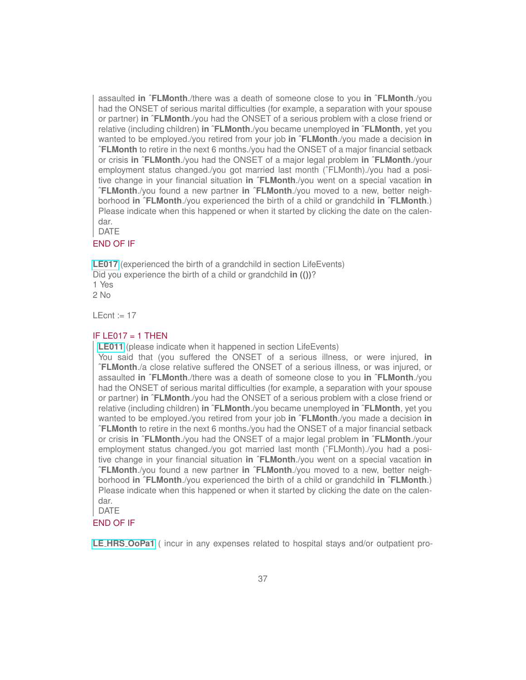assaulted **in ˆFLMonth**./there was a death of someone close to you **in ˆFLMonth**./you had the ONSET of serious marital difficulties (for example, a separation with your spouse or partner) **in ˆFLMonth**./you had the ONSET of a serious problem with a close friend or relative (including children) **in ˆFLMonth**./you became unemployed **in ˆFLMonth**, yet you wanted to be employed./you retired from your job **in ˆFLMonth**./you made a decision **in ˆFLMonth** to retire in the next 6 months./you had the ONSET of a major financial setback or crisis **in ˆFLMonth**./you had the ONSET of a major legal problem **in ˆFLMonth**./your employment status changed./you got married last month (ˆFLMonth)./you had a positive change in your financial situation **in ˆFLMonth**./you went on a special vacation **in ˆFLMonth**./you found a new partner **in ˆFLMonth**./you moved to a new, better neighborhood **in ˆFLMonth**./you experienced the birth of a child or grandchild **in ˆFLMonth**.) Please indicate when this happened or when it started by clicking the date on the calendar.

DATE

#### END OF IF

**[LE017](https://uasdata.usc.edu/variable/uas391/LE017)** (experienced the birth of a grandchild in section LifeEvents) Did you experience the birth of a child or grandchild **in (())**? 1 Yes  $2$  No

 $LEcnt := 17$ 

#### IF LE017  $=$  1 THEN

**[LE011](https://uasdata.usc.edu/variable/uas391/LE011)** (please indicate when it happened in section LifeEvents)

You said that (you suffered the ONSET of a serious illness, or were injured, **in ˆFLMonth**./a close relative suffered the ONSET of a serious illness, or was injured, or assaulted **in ˆFLMonth**./there was a death of someone close to you **in ˆFLMonth**./you had the ONSET of serious marital difficulties (for example, a separation with your spouse or partner) **in ˆFLMonth**./you had the ONSET of a serious problem with a close friend or relative (including children) **in ˆFLMonth**./you became unemployed **in ˆFLMonth**, yet you wanted to be employed./you retired from your job **in ˆFLMonth**./you made a decision **in ˆFLMonth** to retire in the next 6 months./you had the ONSET of a major financial setback or crisis **in ˆFLMonth**./you had the ONSET of a major legal problem **in ˆFLMonth**./your employment status changed./you got married last month (^FLMonth)./you had a positive change in your financial situation **in ˆFLMonth**./you went on a special vacation **in ˆFLMonth**./you found a new partner **in ˆFLMonth**./you moved to a new, better neighborhood **in ˆFLMonth**./you experienced the birth of a child or grandchild **in ˆFLMonth**.) Please indicate when this happened or when it started by clicking the date on the calendar.

DATE

#### END OF IF

**LE HRS [OoPa1](https://uasdata.usc.edu/variable/uas391/LE_HRS_OoPa1)** ( incur in any expenses related to hospital stays and/or outpatient pro-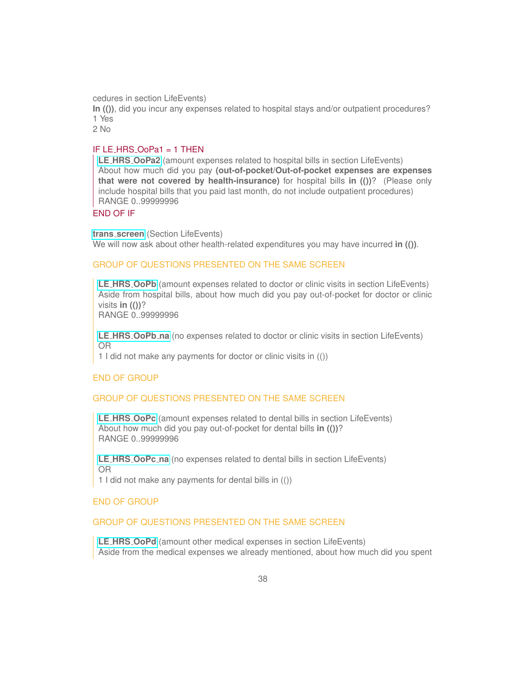cedures in section LifeEvents)

**In (())**, did you incur any expenses related to hospital stays and/or outpatient procedures? 1 Yes

2 No

#### IF LE HRS OoPa1 = 1 THEN

**LE HRS [OoPa2](https://uasdata.usc.edu/variable/uas391/LE_HRS_OoPa2)** (amount expenses related to hospital bills in section LifeEvents) About how much did you pay **(out-of-pocket/Out-of-pocket expenses are expenses that were not covered by health-insurance)** for hospital bills **in (())**? (Please only include hospital bills that you paid last month, do not include outpatient procedures) RANGE 0..99999996

#### END OF IF

**trans [screen](https://uasdata.usc.edu/variable/uas391/trans_screen)** (Section LifeEvents) We will now ask about other health-related expenditures you may have incurred in (()).

#### GROUP OF QUESTIONS PRESENTED ON THE SAME SCREEN

**LE HRS [OoPb](https://uasdata.usc.edu/variable/uas391/LE_HRS_OoPb)** (amount expenses related to doctor or clinic visits in section LifeEvents) Aside from hospital bills, about how much did you pay out-of-pocket for doctor or clinic visits **in (())**?

RANGE 0..99999996

**LE HRS [OoPb](https://uasdata.usc.edu/variable/uas391/LE_HRS_OoPb_na) na** (no expenses related to doctor or clinic visits in section LifeEvents) OR

1 I did not make any payments for doctor or clinic visits in (())

#### END OF GROUP

#### GROUP OF QUESTIONS PRESENTED ON THE SAME SCREEN

**LE HRS [OoPc](https://uasdata.usc.edu/variable/uas391/LE_HRS_OoPc)** (amount expenses related to dental bills in section LifeEvents) About how much did you pay out-of-pocket for dental bills **in (())**? RANGE 0..99999996

**LE HRS [OoPc](https://uasdata.usc.edu/variable/uas391/LE_HRS_OoPc_na) na** (no expenses related to dental bills in section LifeEvents) OR

1 I did not make any payments for dental bills in (())

#### END OF GROUP

#### GROUP OF QUESTIONS PRESENTED ON THE SAME SCREEN

**LE HRS [OoPd](https://uasdata.usc.edu/variable/uas391/LE_HRS_OoPd)** (amount other medical expenses in section LifeEvents) Aside from the medical expenses we already mentioned, about how much did you spent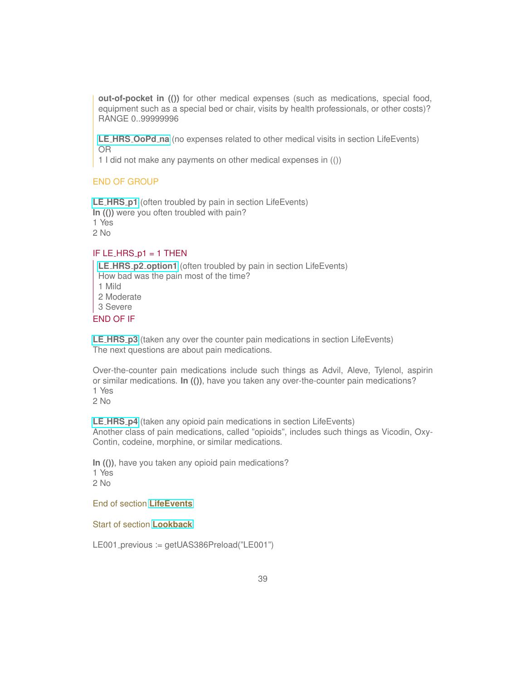**out-of-pocket in (())** for other medical expenses (such as medications, special food, equipment such as a special bed or chair, visits by health professionals, or other costs)? RANGE 0..99999996

**LE HRS [OoPd](https://uasdata.usc.edu/variable/uas391/LE_HRS_OoPd_na) na** (no expenses related to other medical visits in section LifeEvents) OR

1 I did not make any payments on other medical expenses in (())

#### END OF GROUP

**LE [HRS](https://uasdata.usc.edu/variable/uas391/LE_HRS_p1) p1** (often troubled by pain in section LifeEvents) **In (())** were you often troubled with pain? 1 Yes 2 No

#### IF LE\_HRS\_ $p1 = 1$  THEN

**LE HRS p2 [option1](https://uasdata.usc.edu/variable/uas391/LE_HRS_p2_option1)** (often troubled by pain in section LifeEvents) How bad was the pain most of the time? 1 Mild 2 Moderate 3 Severe END OF IF

**LE [HRS](https://uasdata.usc.edu/variable/uas391/LE_HRS_p3) p3** (taken any over the counter pain medications in section LifeEvents) The next questions are about pain medications.

Over-the-counter pain medications include such things as Advil, Aleve, Tylenol, aspirin or similar medications. **In (())**, have you taken any over-the-counter pain medications? 1 Yes

2 No

**LE [HRS](https://uasdata.usc.edu/variable/uas391/LE_HRS_p4) p4** (taken any opioid pain medications in section LifeEvents) Another class of pain medications, called "opioids", includes such things as Vicodin, Oxy-Contin, codeine, morphine, or similar medications.

**In (())**, have you taken any opioid pain medications? 1 Yes 2 No

End of section **[LifeEvents](https://uasdata.usc.edu/index.php?r=eNpLtDK2qi62MrFSKkhMT1WyLrYytASyS5NyMpP1UhJLEvWKU5NLMvPzQFJAVcXFmSkgprGVkrGlIUwwFVwiCGQaGhgYKVnXAlwwmoYZkQ,,)**

<span id="page-38-0"></span>Start of section **[Lookback](https://uasdata.usc.edu/section/uas391/lookback)**

LE001 previous := getUAS386Preload("LE001")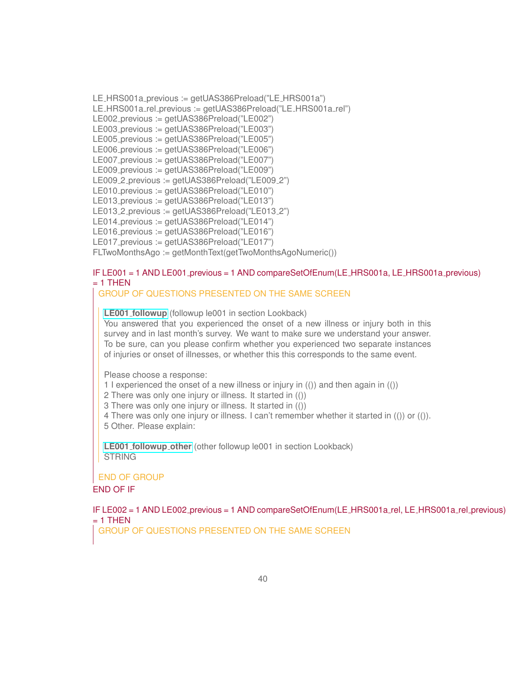LE HRS001a previous := getUAS386Preload("LE HRS001a") LE\_HRS001a\_rel\_previous := getUAS386Preload("LE\_HRS001a\_rel") LE002 previous := getUAS386Preload("LE002") LE003 previous := getUAS386Preload("LE003") LE005 previous := getUAS386Preload("LE005") LE006 previous := getUAS386Preload("LE006") LE007\_previous := getUAS386Preload("LE007") LE009 previous := getUAS386Preload("LE009") LE009<sub>-2-previous</sub> := getUAS386Preload("LE009-2") LE010 previous := getUAS386Preload("LE010") LE013 previous := getUAS386Preload("LE013") LE013<sub>-2</sub> previous := getUAS386Preload("LE013<sub>-2")</sub> LE014 previous := getUAS386Preload("LE014") LE016 previous := getUAS386Preload("LE016") LE017\_previous := getUAS386Preload("LE017") FLTwoMonthsAgo := getMonthText(getTwoMonthsAgoNumeric())

#### IF LE001 = 1 AND LE001 previous = 1 AND compareSetOfEnum(LE HRS001a, LE HRS001a previous)  $= 1$  THEN

#### GROUP OF QUESTIONS PRESENTED ON THE SAME SCREEN

**LE001 [followup](https://uasdata.usc.edu/variable/uas391/LE001_followup)** (followup le001 in section Lookback) You answered that you experienced the onset of a new illness or injury both in this survey and in last month's survey. We want to make sure we understand your answer. To be sure, can you please confirm whether you experienced two separate instances of injuries or onset of illnesses, or whether this this corresponds to the same event.

Please choose a response:

1 I experienced the onset of a new illness or injury in (()) and then again in (())

2 There was only one injury or illness. It started in (())

3 There was only one injury or illness. It started in (())

4 There was only one injury or illness. I can't remember whether it started in (()) or (()).

5 Other. Please explain:

**LE001 [followup](https://uasdata.usc.edu/variable/uas391/LE001_followup_other) other** (other followup le001 in section Lookback) **STRING** 

END OF GROUP

END OF IF

IF LE002 = 1 AND LE002 previous = 1 AND compareSetOfEnum(LE HRS001a rel, LE HRS001a rel previous)  $= 1$  THEN

GROUP OF QUESTIONS PRESENTED ON THE SAME SCREEN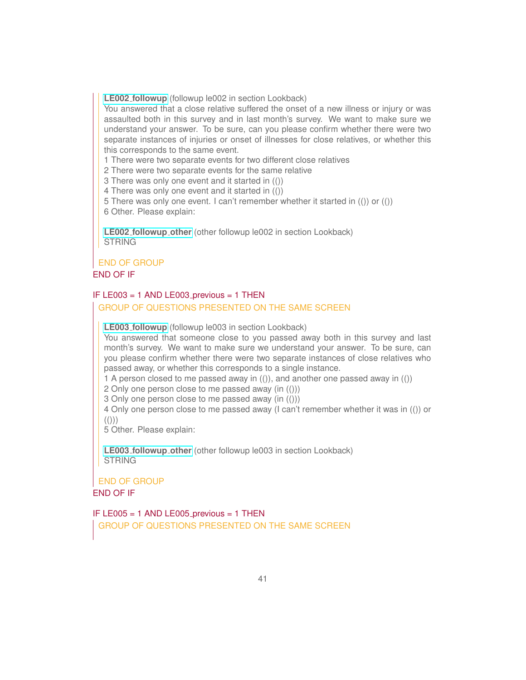**LE002 [followup](https://uasdata.usc.edu/variable/uas391/LE002_followup)** (followup le002 in section Lookback)

You answered that a close relative suffered the onset of a new illness or injury or was assaulted both in this survey and in last month's survey. We want to make sure we understand your answer. To be sure, can you please confirm whether there were two separate instances of injuries or onset of illnesses for close relatives, or whether this this corresponds to the same event.

1 There were two separate events for two different close relatives

2 There were two separate events for the same relative

3 There was only one event and it started in (())

4 There was only one event and it started in (())

5 There was only one event. I can't remember whether it started in (()) or (())

6 Other. Please explain:

**LE002 [followup](https://uasdata.usc.edu/variable/uas391/LE002_followup_other) other** (other followup le002 in section Lookback) **STRING** 

#### END OF GROUP

#### END OF IF

### IF LE003 = 1 AND LE003 previous = 1 THEN

GROUP OF QUESTIONS PRESENTED ON THE SAME SCREEN

**LE003 [followup](https://uasdata.usc.edu/variable/uas391/LE003_followup)** (followup le003 in section Lookback)

You answered that someone close to you passed away both in this survey and last month's survey. We want to make sure we understand your answer. To be sure, can you please confirm whether there were two separate instances of close relatives who passed away, or whether this corresponds to a single instance.

1 A person closed to me passed away in (()), and another one passed away in (())

2 Only one person close to me passed away (in (()))

3 Only one person close to me passed away (in (()))

4 Only one person close to me passed away (I can't remember whether it was in (()) or  $(())$ 

5 Other. Please explain:

**LE003 [followup](https://uasdata.usc.edu/variable/uas391/LE003_followup_other) other** (other followup le003 in section Lookback) **STRING** 

END OF GROUP END OF IF

IF LE005 = 1 AND LE005 previous = 1 THEN

GROUP OF QUESTIONS PRESENTED ON THE SAME SCREEN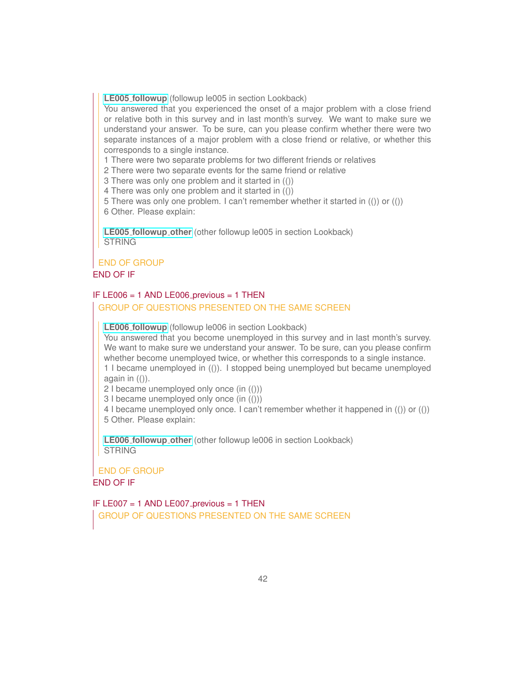**LE005 [followup](https://uasdata.usc.edu/variable/uas391/LE005_followup)** (followup le005 in section Lookback)

You answered that you experienced the onset of a major problem with a close friend or relative both in this survey and in last month's survey. We want to make sure we understand your answer. To be sure, can you please confirm whether there were two separate instances of a major problem with a close friend or relative, or whether this corresponds to a single instance.

1 There were two separate problems for two different friends or relatives

2 There were two separate events for the same friend or relative

3 There was only one problem and it started in (())

4 There was only one problem and it started in (())

5 There was only one problem. I can't remember whether it started in (()) or (()) 6 Other. Please explain:

**LE005 [followup](https://uasdata.usc.edu/variable/uas391/LE005_followup_other) other** (other followup le005 in section Lookback) **STRING** 

#### END OF GROUP

#### END OF IF

#### IF LE006 = 1 AND LE006 previous = 1 THEN

GROUP OF QUESTIONS PRESENTED ON THE SAME SCREEN

**LE006 [followup](https://uasdata.usc.edu/variable/uas391/LE006_followup)** (followup le006 in section Lookback)

You answered that you become unemployed in this survey and in last month's survey. We want to make sure we understand your answer. To be sure, can you please confirm whether become unemployed twice, or whether this corresponds to a single instance. 1 I became unemployed in (()). I stopped being unemployed but became unemployed again in  $(())$ .

2 I became unemployed only once (in (()))

3 I became unemployed only once (in (()))

4 I became unemployed only once. I can't remember whether it happened in (()) or (()) 5 Other. Please explain:

**LE006 [followup](https://uasdata.usc.edu/variable/uas391/LE006_followup_other) other** (other followup le006 in section Lookback) **STRING** 

#### END OF GROUP

END OF IF

IF LE007 = 1 AND LE007 previous = 1 THEN GROUP OF QUESTIONS PRESENTED ON THE SAME SCREEN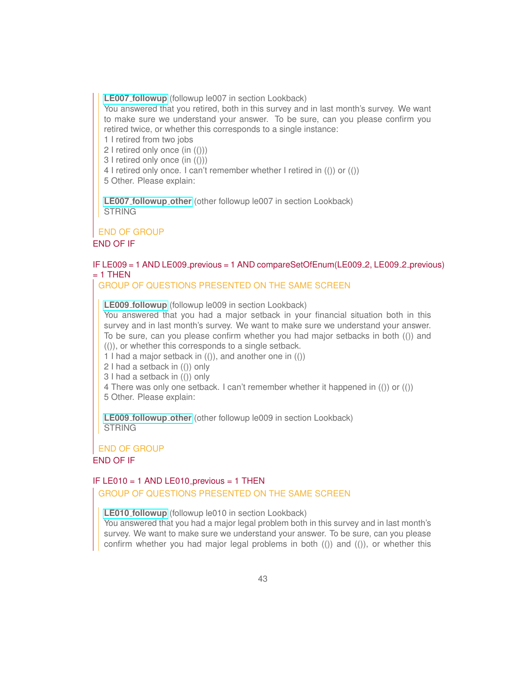**LE007 [followup](https://uasdata.usc.edu/variable/uas391/LE007_followup)** (followup le007 in section Lookback)

You answered that you retired, both in this survey and in last month's survey. We want to make sure we understand your answer. To be sure, can you please confirm you retired twice, or whether this corresponds to a single instance:

1 I retired from two jobs

2 I retired only once (in (()))

3 I retired only once (in (()))

4 I retired only once. I can't remember whether I retired in (()) or (())

5 Other. Please explain:

**LE007 [followup](https://uasdata.usc.edu/variable/uas391/LE007_followup_other) other** (other followup le007 in section Lookback) **STRING** 

#### END OF GROUP

END OF IF

#### IF LE009 = 1 AND LE009 previous = 1 AND compareSetOfEnum(LE009 2, LE009 2 previous)  $= 1$  THEN

GROUP OF QUESTIONS PRESENTED ON THE SAME SCREEN

**LE009 [followup](https://uasdata.usc.edu/variable/uas391/LE009_followup)** (followup le009 in section Lookback)

You answered that you had a major setback in your financial situation both in this survey and in last month's survey. We want to make sure we understand your answer. To be sure, can you please confirm whether you had major setbacks in both (()) and (()), or whether this corresponds to a single setback.

1 I had a major setback in (()), and another one in (())

2 I had a setback in (()) only

3 I had a setback in (()) only

4 There was only one setback. I can't remember whether it happened in (()) or (())

5 Other. Please explain:

**LE009 [followup](https://uasdata.usc.edu/variable/uas391/LE009_followup_other) other** (other followup le009 in section Lookback) **STRING** 

END OF GROUP

#### END OF IF

#### IF LE010 = 1 AND LE010 previous = 1 THEN GROUP OF QUESTIONS PRESENTED ON THE SAME SCREEN

**LE010 [followup](https://uasdata.usc.edu/variable/uas391/LE010_followup)** (followup le010 in section Lookback)

You answered that you had a major legal problem both in this survey and in last month's survey. We want to make sure we understand your answer. To be sure, can you please confirm whether you had major legal problems in both (()) and (()), or whether this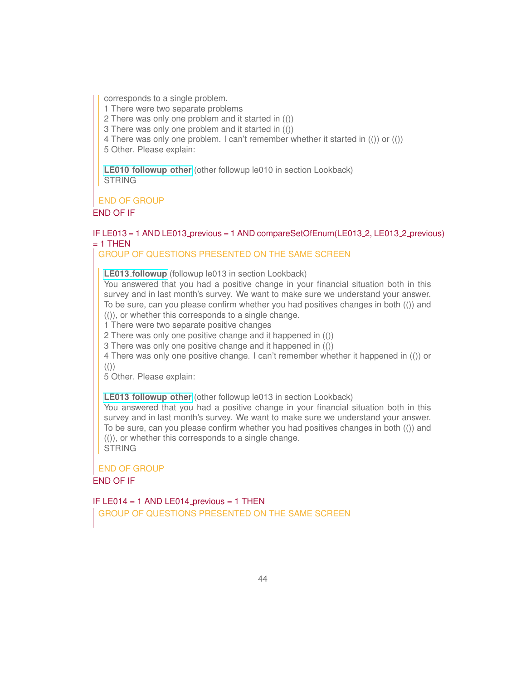corresponds to a single problem.

1 There were two separate problems

2 There was only one problem and it started in (())

3 There was only one problem and it started in (())

4 There was only one problem. I can't remember whether it started in (()) or (())

5 Other. Please explain:

**LE010 [followup](https://uasdata.usc.edu/variable/uas391/LE010_followup_other) other** (other followup le010 in section Lookback) **STRING** 

END OF GROUP

END OF IF

#### IF LE013 = 1 AND LE013 previous = 1 AND compareSetOfEnum(LE013 2, LE013 2 previous)  $= 1$  THEN

#### GROUP OF QUESTIONS PRESENTED ON THE SAME SCREEN

**LE013 [followup](https://uasdata.usc.edu/variable/uas391/LE013_followup)** (followup le013 in section Lookback)

You answered that you had a positive change in your financial situation both in this survey and in last month's survey. We want to make sure we understand your answer. To be sure, can you please confirm whether you had positives changes in both (()) and

(()), or whether this corresponds to a single change.

1 There were two separate positive changes

2 There was only one positive change and it happened in (())

3 There was only one positive change and it happened in (())

4 There was only one positive change. I can't remember whether it happened in (()) or  $(())$ 

5 Other. Please explain:

**LE013 [followup](https://uasdata.usc.edu/variable/uas391/LE013_followup_other) other** (other followup le013 in section Lookback)

You answered that you had a positive change in your financial situation both in this survey and in last month's survey. We want to make sure we understand your answer. To be sure, can you please confirm whether you had positives changes in both (()) and (()), or whether this corresponds to a single change. **STRING** 

END OF GROUP END OF IF

IF LE014 = 1 AND LE014 previous = 1 THEN GROUP OF QUESTIONS PRESENTED ON THE SAME SCREEN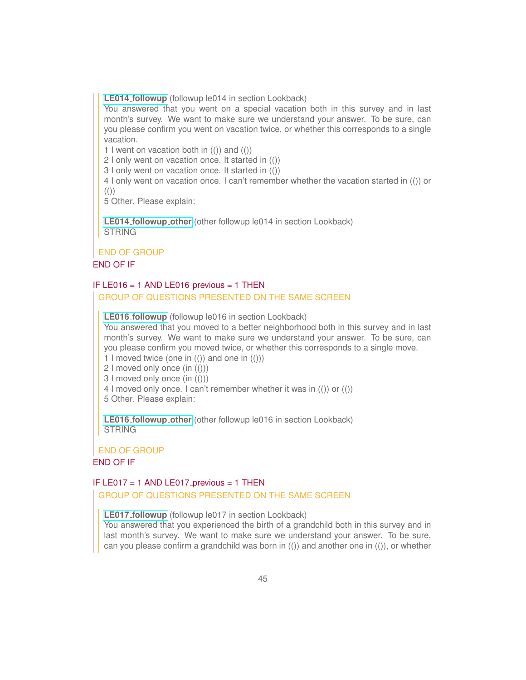**LE014 [followup](https://uasdata.usc.edu/variable/uas391/LE014_followup)** (followup le014 in section Lookback)

You answered that you went on a special vacation both in this survey and in last month's survey. We want to make sure we understand your answer. To be sure, can you please confirm you went on vacation twice, or whether this corresponds to a single vacation.

1 I went on vacation both in  $($ ) and  $($ )  $)$ 

2 I only went on vacation once. It started in (())

3 I only went on vacation once. It started in (())

4 I only went on vacation once. I can't remember whether the vacation started in (()) or  $(())$ 

5 Other. Please explain:

**LE014 [followup](https://uasdata.usc.edu/variable/uas391/LE014_followup_other) other** (other followup le014 in section Lookback) **STRING** 

## END OF GROUP

## END OF IF

#### IF LE016 = 1 AND LE016 previous = 1 THEN GROUP OF QUESTIONS PRESENTED ON THE SAME SCREEN

**LE016 [followup](https://uasdata.usc.edu/variable/uas391/LE016_followup)** (followup le016 in section Lookback)

You answered that you moved to a better neighborhood both in this survey and in last month's survey. We want to make sure we understand your answer. To be sure, can you please confirm you moved twice, or whether this corresponds to a single move.

- 1 I moved twice (one in  $($ )) and one in  $($ )))
- 2 I moved only once (in (()))
- 3 I moved only once (in (()))
- 4 I moved only once. I can't remember whether it was in (()) or (())

5 Other. Please explain:

**LE016 [followup](https://uasdata.usc.edu/variable/uas391/LE016_followup_other) other** (other followup le016 in section Lookback) **STRING** 

#### END OF GROUP

#### END OF IF

#### IF LE017 = 1 AND LE017 previous = 1 THEN GROUP OF QUESTIONS PRESENTED ON THE SAME SCREEN

**LE017 [followup](https://uasdata.usc.edu/variable/uas391/LE017_followup)** (followup le017 in section Lookback)

You answered that you experienced the birth of a grandchild both in this survey and in last month's survey. We want to make sure we understand your answer. To be sure, can you please confirm a grandchild was born in  $($ ) and another one in  $($ )), or whether